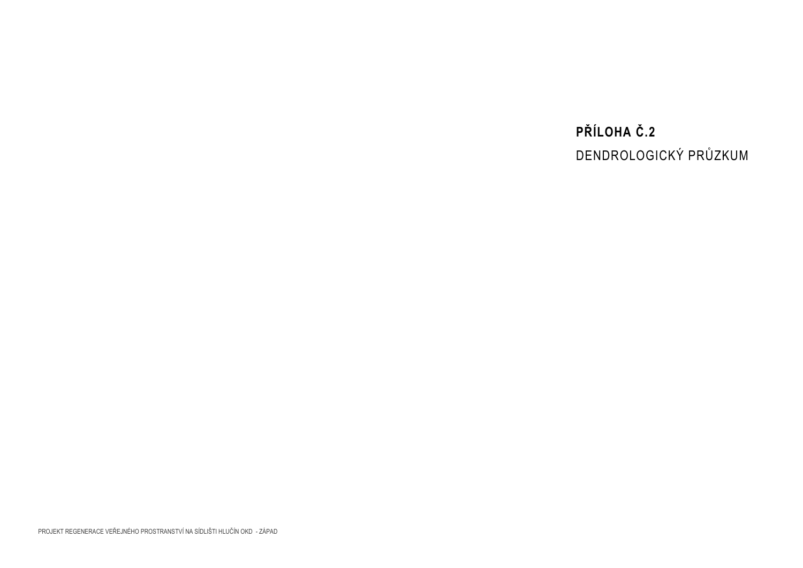# **PŘÍLOHA Č.2** DENDROLOGICKÝ PRŮZKUM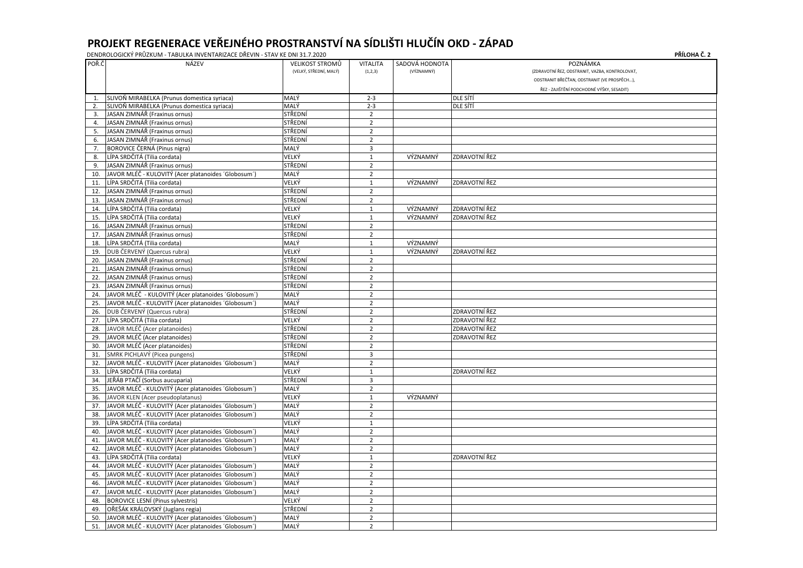| POŘ.Č          | NÁZEV                                               | VELIKOST STROMŮ        | <b>VITALITA</b> | SADOVÁ HODNOTA |                      | POZNÁMKA                                       |
|----------------|-----------------------------------------------------|------------------------|-----------------|----------------|----------------------|------------------------------------------------|
|                |                                                     | (VELKÝ, STŘEDNÍ, MALÝ) | (1,2,3)         | (VÝZNAMNÝ)     |                      | (ZDRAVOTNÍ ŘEZ, ODSTRANIT, VAZBA, KONTROLOVAT) |
|                |                                                     |                        |                 |                |                      | ODSTRANIT BŘEČŤAN, ODSTRANIT (VE PROSPĚCH),    |
|                |                                                     |                        |                 |                |                      | ŘEZ - ZAJIŠTĚNÍ PODCHODNÉ VÝŠKY, SESADIT)      |
| $\mathbf 1$    | SLIVOŇ MIRABELKA (Prunus domestica syriaca)         | MALÝ                   | $2 - 3$         |                | <b>DLE SÍTÍ</b>      |                                                |
| 2.             | SLIVOŇ MIRABELKA (Prunus domestica syriaca)         | MALÝ                   | $2 - 3$         |                | <b>DLE SÍTÍ</b>      |                                                |
| 3.             | JASAN ZIMNÁŘ (Fraxinus ornus)                       | STŘEDNÍ                | $\overline{2}$  |                |                      |                                                |
| $\overline{4}$ | JASAN ZIMNÁŘ (Fraxinus ornus)                       | STŘEDNÍ                | $\overline{2}$  |                |                      |                                                |
| 5.             | JASAN ZIMNÁŘ (Fraxinus ornus)                       | STŘEDNÍ                | $\overline{2}$  |                |                      |                                                |
| 6              | JASAN ZIMNÁŘ (Fraxinus ornus)                       | STŘEDNÍ                | $\overline{2}$  |                |                      |                                                |
| 7              | BOROVICE ČERNÁ (Pinus nigra)                        | MALÝ                   | $\overline{3}$  |                |                      |                                                |
| 8              | LÍPA SRDČITÁ (Tilia cordata)                        | VELKÝ                  | $\mathbf{1}$    | VÝZNAMNÝ       | <b>ZDRAVOTNÍ ŘEZ</b> |                                                |
| 9              | JASAN ZIMNÁŘ (Fraxinus ornus)                       | STŘEDNÍ                | $\overline{2}$  |                |                      |                                                |
| 10             | JAVOR MLÉČ - KULOVITÝ (Acer platanoides 'Globosum') | MALÝ                   | $\overline{2}$  |                |                      |                                                |
| 11             | LÍPA SRDČITÁ (Tilia cordata)                        | VELKÝ                  | $\mathbf{1}$    | VÝZNAMNÝ       | <b>ZDRAVOTNÍ ŘEZ</b> |                                                |
| 12             | JASAN ZIMNÁŘ (Fraxinus ornus)                       | STŘEDNÍ                | $\overline{2}$  |                |                      |                                                |
| 13             | JASAN ZIMNÁŘ (Fraxinus ornus)                       | STŘEDNÍ                | $\overline{2}$  |                |                      |                                                |
| 14             | LÍPA SRDČITÁ (Tilia cordata)                        | VELKÝ                  | 1               | VÝZNAMNÝ       | <b>ZDRAVOTNÍ ŘEZ</b> |                                                |
| 15             | LÍPA SRDČITÁ (Tilia cordata)                        | VELKÝ                  | $\mathbf{1}$    | VÝZNAMNÝ       | <b>ZDRAVOTNÍ ŘEZ</b> |                                                |
| 16             | JASAN ZIMNÁŘ (Fraxinus ornus)                       | STŘEDNÍ                | $\overline{2}$  |                |                      |                                                |
| 17             | JASAN ZIMNÁŘ (Fraxinus ornus)                       | STŘEDNÍ                | $\overline{2}$  |                |                      |                                                |
| 18.            | LÍPA SRDČITÁ (Tilia cordata)                        | MALÝ                   | $\mathbf{1}$    | VÝZNAMNÝ       |                      |                                                |
| 19             | DUB ČERVENÝ (Quercus rubra)                         | VELKÝ                  | 1               | VÝZNAMNÝ       | <b>ZDRAVOTNÍ ŘEZ</b> |                                                |
| 20             | JASAN ZIMNÁŘ (Fraxinus ornus)                       | STŘEDNÍ                | $\overline{2}$  |                |                      |                                                |
| 21             | JASAN ZIMNÁŘ (Fraxinus ornus)                       | STŘEDNÍ                | $\overline{2}$  |                |                      |                                                |
| 22             | JASAN ZIMNÁŘ (Fraxinus ornus)                       | STŘEDNÍ                | $\overline{2}$  |                |                      |                                                |
| 23             | JASAN ZIMNÁŘ (Fraxinus ornus)                       | STŘEDNÍ                | $\overline{2}$  |                |                      |                                                |
| 24             | JAVOR MLÉČ - KULOVITÝ (Acer platanoides 'Globosum') | MALÝ                   | $\overline{2}$  |                |                      |                                                |
| 25             | JAVOR MLÉČ - KULOVITÝ (Acer platanoides 'Globosum') | MALÝ                   | $\overline{2}$  |                |                      |                                                |
| 26             | DUB ČERVENÝ (Quercus rubra)                         | STŘEDNÍ                | $\overline{2}$  |                | <b>ZDRAVOTNÍ ŘEZ</b> |                                                |
| 27             | LÍPA SRDČITÁ (Tilia cordata)                        | VELKÝ                  | $\overline{2}$  |                | <b>ZDRAVOTNÍ ŘEZ</b> |                                                |
| 28             | JAVOR MLÉČ (Acer platanoides)                       | STŘEDNÍ                | $\overline{2}$  |                | <b>ZDRAVOTNÍ ŘEZ</b> |                                                |
| 29             | JAVOR MLÉČ (Acer platanoides)                       | STŘEDNÍ                | $\overline{2}$  |                | <b>ZDRAVOTNÍ ŘEZ</b> |                                                |
| 30             | JAVOR MLÉČ (Acer platanoides)                       | STŘEDNÍ                | $\overline{2}$  |                |                      |                                                |
| 31             | SMRK PICHLAVÝ (Picea pungens)                       | STŘEDNÍ                | 3               |                |                      |                                                |
|                | JAVOR MLÉČ - KULOVITÝ (Acer platanoides 'Globosum') | MALÝ                   | 2               |                |                      |                                                |
| 33.            | LÍPA SRDČITÁ (Tilia cordata)                        | VELKÝ                  | $\mathbf{1}$    |                | <b>ZDRAVOTNÍ ŘEZ</b> |                                                |
| 34.            | JEŘÁB PTAČÍ (Sorbus aucuparia)                      | STŘEDNÍ                | 3               |                |                      |                                                |
| 35.            | JAVOR MLÉČ - KULOVITÝ (Acer platanoides 'Globosum') | MALÝ                   | $\overline{2}$  |                |                      |                                                |
| 36.            | JAVOR KLEN (Acer pseudoplatanus)                    | VELKÝ                  | $\mathbf{1}$    | VÝZNAMNÝ       |                      |                                                |
| 37             | JAVOR MLÉČ - KULOVITÝ (Acer platanoides 'Globosum') | MALÝ                   | $\overline{2}$  |                |                      |                                                |
| 38             | JAVOR MLÉČ - KULOVITÝ (Acer platanoides 'Globosum') | MALÝ                   | $\overline{2}$  |                |                      |                                                |
| 39             | LÍPA SRDČITÁ (Tilia cordata)                        | VELKÝ                  | $\mathbf{1}$    |                |                      |                                                |
| 40             | JAVOR MLÉČ - KULOVITÝ (Acer platanoides 'Globosum') | MALÝ                   | $\overline{2}$  |                |                      |                                                |
| 41             | JAVOR MLÉČ - KULOVITÝ (Acer platanoides 'Globosum') | MALÝ                   | $\overline{2}$  |                |                      |                                                |
| 42             | JAVOR MLÉČ - KULOVITÝ (Acer platanoides 'Globosum') | MALÝ                   | $\overline{2}$  |                |                      |                                                |
| 43.            | LÍPA SRDČITÁ (Tilia cordata)                        | VELKÝ                  | $\mathbf{1}$    |                | <b>ZDRAVOTNÍ ŘEZ</b> |                                                |
| 44             | JAVOR MLÉČ - KULOVITÝ (Acer platanoides 'Globosum') | MALÝ                   | $\overline{2}$  |                |                      |                                                |
| 45             | JAVOR MLÉČ - KULOVITÝ (Acer platanoides 'Globosum') | MALÝ                   | $\overline{2}$  |                |                      |                                                |
| 46.            | JAVOR MLÉČ - KULOVITÝ (Acer platanoides 'Globosum') | MALÝ                   | $\overline{2}$  |                |                      |                                                |
| 47             | JAVOR MLÉČ - KULOVITÝ (Acer platanoides 'Globosum') | MALÝ                   | $\overline{2}$  |                |                      |                                                |
|                | BOROVICE LESNÍ (Pinus sylvestris)                   | VELKÝ                  |                 |                |                      |                                                |
| 48             |                                                     |                        | $\overline{2}$  |                |                      |                                                |
| 49             | OŘEŠÁK KRÁLOVSKÝ (Juglans regia)                    | STŘEDNÍ                | $\overline{2}$  |                |                      |                                                |
| 50.            | JAVOR MLÉČ - KULOVITÝ (Acer platanoides 'Globosum') | MALÝ                   | $\overline{2}$  |                |                      |                                                |
| 51.            | JAVOR MLÉČ - KULOVITÝ (Acer platanoides 'Globosum') | MALÝ                   | $\overline{2}$  |                |                      |                                                |

| PŘÍLOHA Č. 2 |  |
|--------------|--|
|--------------|--|

| KONTROLOVAT, |
|--------------|
| E PROSPĚCH), |
| Y, SESADIT)  |
|              |
|              |
|              |
|              |
|              |
|              |
|              |
|              |
|              |
|              |
|              |
|              |
|              |
|              |
|              |
|              |
|              |
|              |
|              |
|              |
|              |
|              |
|              |
|              |
|              |
|              |
|              |
|              |
|              |
|              |
|              |
|              |
|              |
|              |
|              |
|              |
|              |
|              |
|              |
|              |
|              |
|              |
|              |
|              |
|              |
|              |
|              |
|              |
|              |
|              |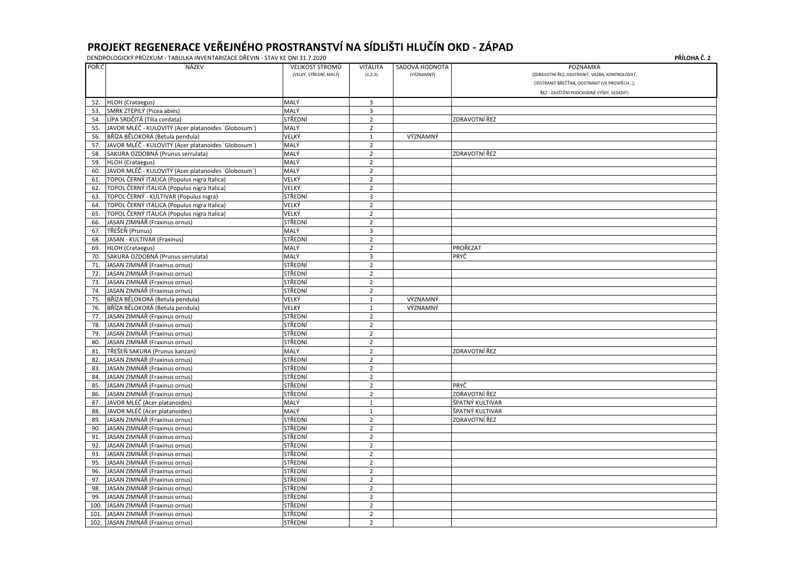|       | DENDROLOGICKÝ PRŮZKUM - TABULKA INVENTARIZACE DŘEVIN - STAV KE DNI 31.7.2020                                                                                                                                                                                                                                                                                                         |                                           |                            |                              | PŘÍLOHA Č. 2                                                                                                                                           |
|-------|--------------------------------------------------------------------------------------------------------------------------------------------------------------------------------------------------------------------------------------------------------------------------------------------------------------------------------------------------------------------------------------|-------------------------------------------|----------------------------|------------------------------|--------------------------------------------------------------------------------------------------------------------------------------------------------|
| POŘ.Č | NÁZEV                                                                                                                                                                                                                                                                                                                                                                                | VELIKOST STROMŮ<br>(VELKÝ, STŘEDNÍ, MALÝ) | <b>VITALITA</b><br>(1,2,3) | SADOVÁ HODNOTA<br>(VÝZNAMNÝ) | POZNÁMKA<br>(ZDRAVOTNÍ ŘEZ, ODSTRANIT, VAZBA, KONTROLOVAT,<br>ODSTRANIT BŘEČŤAN, ODSTRANIT (VE PROSPĚCH),<br>ŘEZ - ZAJIŠTĚNÍ PODCHODNÉ VÝŠKY, SESADIT) |
| 52.   | HLOH (Crataegus)                                                                                                                                                                                                                                                                                                                                                                     | MALÝ                                      | 3                          |                              |                                                                                                                                                        |
|       | 53. SMRK ZTEPILÝ (Picea abies)                                                                                                                                                                                                                                                                                                                                                       | MALÝ                                      | 3                          |                              |                                                                                                                                                        |
| 54.   | LÍPA SRDČITÁ (Tilia cordata)                                                                                                                                                                                                                                                                                                                                                         | STŘEDNÍ                                   | $\overline{2}$             |                              | <b>ZDRAVOTNÍ ŘEZ</b>                                                                                                                                   |
| 55.   | JAVOR MLÉČ - KULOVITÝ (Acer platanoides 'Globosum')                                                                                                                                                                                                                                                                                                                                  | MALÝ                                      | $\overline{2}$             |                              |                                                                                                                                                        |
|       | 56. BŘÍZA BĚLOKORÁ (Betula pendula)                                                                                                                                                                                                                                                                                                                                                  | VELKÝ                                     | $\mathbf{1}$               | VÝZNAMNÝ                     |                                                                                                                                                        |
| 57.   | JAVOR MLÉČ - KULOVITÝ (Acer platanoides 'Globosum')                                                                                                                                                                                                                                                                                                                                  | MALÝ                                      | $\overline{2}$             |                              |                                                                                                                                                        |
| 58.   | SAKURA OZDOBNÁ (Prunus serrulata)                                                                                                                                                                                                                                                                                                                                                    | MALÝ                                      | $\overline{2}$             |                              | ZDRAVOTNÍ ŘEZ                                                                                                                                          |
|       | 59. HLOH (Crataegus)                                                                                                                                                                                                                                                                                                                                                                 | MALÝ                                      | $\overline{2}$             |                              |                                                                                                                                                        |
| 60.   | JAVOR MLÉČ - KULOVITÝ (Acer platanoides 'Globosum')                                                                                                                                                                                                                                                                                                                                  | MALÝ                                      | $\overline{2}$             |                              |                                                                                                                                                        |
| 61.   | TOPOL ČERNÝ ITALICA (Populus nigra Italica)                                                                                                                                                                                                                                                                                                                                          | VELKÝ                                     | $\overline{2}$             |                              |                                                                                                                                                        |
| 62.   | TOPOL ČERNÝ ITALICA (Populus nigra Italica)                                                                                                                                                                                                                                                                                                                                          | VELKÝ                                     | $\overline{2}$             |                              |                                                                                                                                                        |
| 63.   | TOPOL ČERNÝ - KULTIVAR (Populus nigra)                                                                                                                                                                                                                                                                                                                                               | STŘEDNÍ                                   | 3                          |                              |                                                                                                                                                        |
| 64.   | TOPOL ČERNÝ ITALICA (Populus nigra Italica)                                                                                                                                                                                                                                                                                                                                          | VELKÝ                                     | $\overline{2}$             |                              |                                                                                                                                                        |
| 65.   | TOPOL ČERNÝ ITALICA (Populus nigra Italica)                                                                                                                                                                                                                                                                                                                                          | VELKÝ                                     | $\overline{2}$             |                              |                                                                                                                                                        |
| 66.   | JASAN ZIMNÁŘ (Fraxinus ornus)                                                                                                                                                                                                                                                                                                                                                        | STŘEDNÍ                                   | $\overline{2}$             |                              |                                                                                                                                                        |
|       | 67. TŘEŠEŇ (Prunus)                                                                                                                                                                                                                                                                                                                                                                  | MALÝ                                      | $\overline{3}$             |                              |                                                                                                                                                        |
| 68.   | JASAN - KULTIVAR (Fraxinus)                                                                                                                                                                                                                                                                                                                                                          | STŘEDNÍ                                   | $\overline{2}$             |                              |                                                                                                                                                        |
| 69.   | HLOH (Crataegus)                                                                                                                                                                                                                                                                                                                                                                     | MALÝ                                      | $\overline{2}$             |                              | PROŘEZAT                                                                                                                                               |
| 70.   | SAKURA OZDOBNÁ (Prunus serrulata)                                                                                                                                                                                                                                                                                                                                                    | MALÝ                                      | $\overline{3}$             |                              | PRYČ                                                                                                                                                   |
| 71.   | JASAN ZIMNÁŘ (Fraxinus ornus)                                                                                                                                                                                                                                                                                                                                                        | STŘEDNÍ                                   | $\overline{2}$             |                              |                                                                                                                                                        |
| 72.   | JASAN ZIMNÁŘ (Fraxinus ornus)                                                                                                                                                                                                                                                                                                                                                        | STŘEDNÍ                                   | $\overline{2}$             |                              |                                                                                                                                                        |
| 73.   | JASAN ZIMNÁŘ (Fraxinus ornus)                                                                                                                                                                                                                                                                                                                                                        | STŘEDNÍ                                   | $\overline{2}$             |                              |                                                                                                                                                        |
| 74.   | JASAN ZIMNÁŘ (Fraxinus ornus)                                                                                                                                                                                                                                                                                                                                                        | STŘEDNÍ                                   | $\overline{2}$             |                              |                                                                                                                                                        |
|       | 75. BŘÍZA BĚLOKORÁ (Betula pendula)                                                                                                                                                                                                                                                                                                                                                  | VELKÝ                                     | 1                          | VÝZNAMNÝ                     |                                                                                                                                                        |
|       | 76. BŘÍZA BĚLOKORÁ (Betula pendula)                                                                                                                                                                                                                                                                                                                                                  | VELKÝ                                     | 1                          | VÝZNAMNÝ                     |                                                                                                                                                        |
|       | 77. JASAN ZIMNÁŘ (Fraxinus ornus)                                                                                                                                                                                                                                                                                                                                                    | STŘEDNÍ                                   | $\overline{2}$             |                              |                                                                                                                                                        |
|       | $\overline{z}$ $\overline{z}$ $\overline{z}$ $\overline{z}$ $\overline{z}$ $\overline{z}$ $\overline{z}$ $\overline{z}$ $\overline{z}$ $\overline{z}$ $\overline{z}$ $\overline{z}$ $\overline{z}$ $\overline{z}$ $\overline{z}$ $\overline{z}$ $\overline{z}$ $\overline{z}$ $\overline{z}$ $\overline{z}$ $\overline{z}$ $\overline{z}$ $\overline{z}$ $\overline{z}$ $\overline{$ | $CT$ $D$ $D$ $N$                          | $\mathbf{\hat{z}}$         |                              |                                                                                                                                                        |

| 73.  | JASAN ZIMNÁŘ (Fraxinus ornus)   | STŘEDNÍ | $\overline{2}$ |          |                 |
|------|---------------------------------|---------|----------------|----------|-----------------|
| 74.  | JASAN ZIMNÁŘ (Fraxinus ornus)   | STŘEDNÍ | $\overline{2}$ |          |                 |
| 75.  | BŘÍZA BĚLOKORÁ (Betula pendula) | VELKÝ   | $\mathbf{1}$   | VÝZNAMNÝ |                 |
| 76.  | BŘÍZA BĚLOKORÁ (Betula pendula) | VELKÝ   | $\mathbf{1}$   | VÝZNAMNÝ |                 |
| 77.  | JASAN ZIMNÁŘ (Fraxinus ornus)   | STŘEDNÍ | $\overline{2}$ |          |                 |
| 78.  | JASAN ZIMNÁŘ (Fraxinus ornus)   | STŘEDNÍ | $\mathbf 2$    |          |                 |
| 79.  | JASAN ZIMNÁŘ (Fraxinus ornus)   | STŘEDNÍ | $\overline{2}$ |          |                 |
| 80.  | JASAN ZIMNÁŘ (Fraxinus ornus)   | STŘEDNÍ | $\overline{2}$ |          |                 |
| 81.  | TŘEŠEŇ SAKURA (Prunus kanzan)   | MALÝ    | $\overline{2}$ |          | ZDRAVOTNÍ ŘEZ   |
| 82.  | JASAN ZIMNÁŘ (Fraxinus ornus)   | STŘEDNÍ | $\mathbf 2$    |          |                 |
| 83.  | JASAN ZIMNÁŘ (Fraxinus ornus)   | STŘEDNÍ | $\overline{2}$ |          |                 |
| 84.  | JASAN ZIMNÁŘ (Fraxinus ornus)   | STŘEDNÍ | $\overline{2}$ |          |                 |
| 85.  | JASAN ZIMNÁŘ (Fraxinus ornus)   | STŘEDNÍ | $\overline{2}$ |          | PRYČ            |
| 86.  | JASAN ZIMNÁŘ (Fraxinus ornus)   | STŘEDNÍ | $\overline{2}$ |          | ZDRAVOTNÍ ŘEZ   |
| 87.  | JAVOR MLÉČ (Acer platanoides)   | MALÝ    | $\mathbf{1}$   |          | ŠPATNÝ KULTIVAR |
| 88.  | JAVOR MLÉČ (Acer platanoides)   | MALÝ    | $\mathbf{1}$   |          | ŠPATNÝ KULTIVAR |
| 89.  | JASAN ZIMNÁŘ (Fraxinus ornus)   | STŘEDNÍ | $\overline{2}$ |          | ZDRAVOTNÍ ŘEZ   |
| 90.  | JASAN ZIMNÁŘ (Fraxinus ornus)   | STŘEDNÍ | $\overline{2}$ |          |                 |
| 91.  | JASAN ZIMNÁŘ (Fraxinus ornus)   | STŘEDNÍ | $\overline{2}$ |          |                 |
| 92.  | JASAN ZIMNÁŘ (Fraxinus ornus)   | STŘEDNÍ | $\overline{2}$ |          |                 |
| 93.  | JASAN ZIMNÁŘ (Fraxinus ornus)   | STŘEDNÍ | $\overline{2}$ |          |                 |
| 95.  | JASAN ZIMNÁŘ (Fraxinus ornus)   | STŘEDNÍ | $\overline{2}$ |          |                 |
| 96.  | JASAN ZIMNÁŘ (Fraxinus ornus)   | STŘEDNÍ | $\overline{2}$ |          |                 |
| 97.  | JASAN ZIMNÁŘ (Fraxinus ornus)   | STŘEDNÍ | $\overline{2}$ |          |                 |
| 98.  | JASAN ZIMNÁŘ (Fraxinus ornus)   | STŘEDNÍ | $\overline{2}$ |          |                 |
| 99.  | JASAN ZIMNÁŘ (Fraxinus ornus)   | STŘEDNÍ | $\mathbf 2$    |          |                 |
| 100. | JASAN ZIMNÁŘ (Fraxinus ornus)   | STŘEDNÍ | $\overline{2}$ |          |                 |
| 101. | JASAN ZIMNÁŘ (Fraxinus ornus)   | STŘEDNÍ | $\overline{2}$ |          |                 |
| 102. | JASAN ZIMNÁŘ (Fraxinus ornus)   | STŘEDNÍ | $\overline{2}$ |          |                 |
|      |                                 |         |                |          |                 |

| PŘÍLOHA Č. 2 |  |  |
|--------------|--|--|
|--------------|--|--|

| KONTROLOVAT, |  |
|--------------|--|
| PROSPĚCH),   |  |
| Y, SESADIT)  |  |
|              |  |
|              |  |
|              |  |
|              |  |
|              |  |
|              |  |
|              |  |
|              |  |
|              |  |
|              |  |
|              |  |
|              |  |
|              |  |
|              |  |
|              |  |
|              |  |
|              |  |
|              |  |
|              |  |
|              |  |
|              |  |
|              |  |
|              |  |
|              |  |
|              |  |
|              |  |
|              |  |
|              |  |
|              |  |
|              |  |
|              |  |
|              |  |
|              |  |
|              |  |
|              |  |
|              |  |
|              |  |
|              |  |
|              |  |
|              |  |
|              |  |
|              |  |
|              |  |
|              |  |
|              |  |
|              |  |
|              |  |
|              |  |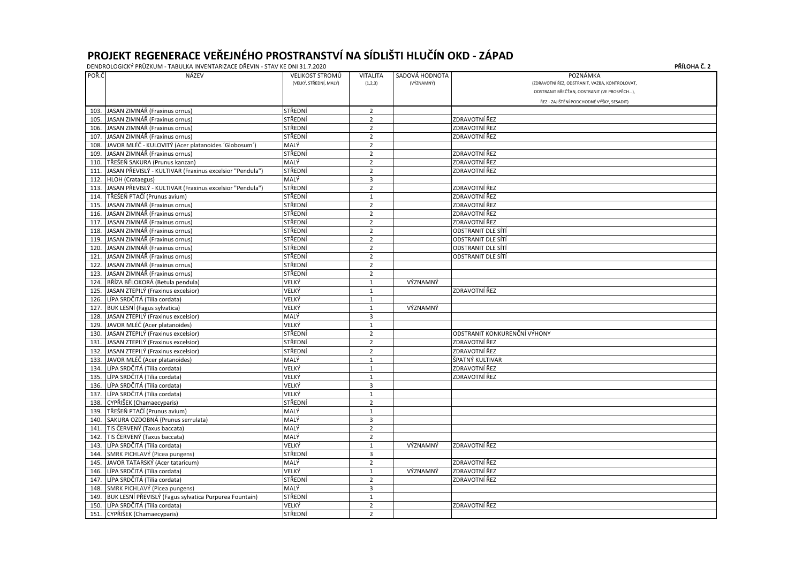| POŘ.Č | NÁZEV                                                       | <b>VELIKOST STROMŮ</b> | <b>VITALITA</b> | SADOVÁ HODNOTA | POZNÁMKA                                       |
|-------|-------------------------------------------------------------|------------------------|-----------------|----------------|------------------------------------------------|
|       |                                                             | (VELKÝ, STŘEDNÍ, MALÝ) | (1,2,3)         | (VÝZNAMNÝ)     | (ZDRAVOTNÍ ŘEZ, ODSTRANIT, VAZBA, KONTROLOVAT) |
|       |                                                             |                        |                 |                | ODSTRANIT BŘEČŤAN, ODSTRANIT (VE PROSPĚCH),    |
|       |                                                             |                        |                 |                | ŘEZ - ZAJIŠTĚNÍ PODCHODNÉ VÝŠKY, SESADIT)      |
| 103.  | JASAN ZIMNÁŘ (Fraxinus ornus)                               | STŘEDNÍ                | $\overline{2}$  |                |                                                |
| 105.  | JASAN ZIMNÁŘ (Fraxinus ornus)                               | STŘEDNÍ                | $\overline{2}$  |                | ZDRAVOTNÍ ŘEZ                                  |
| 106.  | JASAN ZIMNÁŘ (Fraxinus ornus)                               | STŘEDNÍ                | $\overline{2}$  |                | ZDRAVOTNÍ ŘEZ                                  |
| 107.  | JASAN ZIMNÁŘ (Fraxinus ornus)                               | STŘEDNÍ                | $\overline{2}$  |                | ZDRAVOTNÍ ŘEZ                                  |
| 108.  | JAVOR MLÉČ - KULOVITÝ (Acer platanoides 'Globosum')         | MALÝ                   | $\overline{2}$  |                |                                                |
| 109.  | JASAN ZIMNÁŘ (Fraxinus ornus)                               | STŘEDNÍ                | $\overline{2}$  |                | ZDRAVOTNÍ ŘEZ                                  |
| 110.  | TŘEŠEŇ SAKURA (Prunus kanzan)                               | MALÝ                   | $\overline{2}$  |                | ZDRAVOTNÍ ŘEZ                                  |
| 111.  | JASAN PŘEVISLÝ - KULTIVAR (Fraxinus excelsior "Pendula")    | STŘEDNÍ                | $\overline{2}$  |                | ZDRAVOTNÍ ŘEZ                                  |
| 112.  | HLOH (Crataegus)                                            | MALÝ                   | 3               |                |                                                |
| 113.  | JASAN PŘEVISLÝ - KULTIVAR (Fraxinus excelsior "Pendula")    | STŘEDNÍ                | $\overline{2}$  |                | ZDRAVOTNÍ ŘEZ                                  |
| 114.  | TŘEŠEŇ PTAČÍ (Prunus avium)                                 | STŘEDNÍ                | $\mathbf 1$     |                | ZDRAVOTNÍ ŘEZ                                  |
| 115.  | JASAN ZIMNÁŘ (Fraxinus ornus)                               | STŘEDNÍ                | $\overline{2}$  |                | ZDRAVOTNÍ ŘEZ                                  |
| 116.  | JASAN ZIMNÁŘ (Fraxinus ornus)                               | STŘEDNÍ                | $\overline{2}$  |                | ZDRAVOTNÍ ŘEZ                                  |
| 117.  | JASAN ZIMNÁŘ (Fraxinus ornus)                               | STŘEDNÍ                | $\overline{2}$  |                | ZDRAVOTNÍ ŘEZ                                  |
| 118.  | JASAN ZIMNÁŘ (Fraxinus ornus)                               | STŘEDNÍ                | $\overline{2}$  |                | <b>ODSTRANIT DLE SÍTÍ</b>                      |
| 119.  | JASAN ZIMNÁŘ (Fraxinus ornus)                               | STŘEDNÍ                | $\overline{2}$  |                | ODSTRANIT DLE SÍTÍ                             |
| 120.  | JASAN ZIMNÁŘ (Fraxinus ornus)                               | STŘEDNÍ                | $\overline{2}$  |                | <b>ODSTRANIT DLE SÍTÍ</b>                      |
| 121   | JASAN ZIMNÁŘ (Fraxinus ornus)                               | STŘEDNÍ                | $\overline{2}$  |                | <b>ODSTRANIT DLE SÍTÍ</b>                      |
| 122.  | JASAN ZIMNÁŘ (Fraxinus ornus)                               | STŘEDNÍ                | $\overline{2}$  |                |                                                |
| 123.  | JASAN ZIMNÁŘ (Fraxinus ornus)                               | STŘEDNÍ                | $\overline{2}$  |                |                                                |
| 124.  | BŘÍZA BĚLOKORÁ (Betula pendula)                             | VELKÝ                  | $\mathbf{1}$    | VÝZNAMNÝ       |                                                |
| 125.  | JASAN ZTEPILÝ (Fraxinus excelsior)                          | VELKÝ                  | $\mathbf{1}$    |                | ZDRAVOTNÍ ŘEZ                                  |
| 126.  | LÍPA SRDČITÁ (Tilia cordata)                                | VELKÝ                  | $\mathbf{1}$    |                |                                                |
| 127.  | <b>BUK LESNÍ (Fagus sylvatica)</b>                          | VELKÝ                  | $\mathbf{1}$    | VÝZNAMNÝ       |                                                |
| 128.  | JASAN ZTEPILÝ (Fraxinus excelsior)                          | MALÝ                   | 3               |                |                                                |
| 129.  | JAVOR MLÉČ (Acer platanoides)                               | VELKÝ                  | $\mathbf{1}$    |                |                                                |
| 130.  | JASAN ZTEPILÝ (Fraxinus excelsior)                          | STŘEDNÍ                | $\overline{2}$  |                | ODSTRANIT KONKURENČNÍ VÝHONY                   |
| 131.  | JASAN ZTEPILÝ (Fraxinus excelsior)                          | STŘEDNÍ                | $\overline{2}$  |                | ZDRAVOTNÍ ŘEZ                                  |
| 132.  | JASAN ZTEPILÝ (Fraxinus excelsior)                          | STŘEDNÍ                | $\mathbf 2$     |                | ZDRAVOTNÍ ŘEZ                                  |
| 133.  | JAVOR MLÉČ (Acer platanoides)                               | MALÝ                   | $\mathbf{1}$    |                | ŠPATNÝ KULTIVAR                                |
| 134.  | LÍPA SRDČITÁ (Tilia cordata)                                | VELKÝ                  | $\mathbf{1}$    |                | ZDRAVOTNÍ ŘEZ                                  |
|       | 135. LÍPA SRDČITÁ (Tilia cordata)                           | VELKÝ                  | $\mathbf{1}$    |                | ZDRAVOTNÍ ŘEZ                                  |
|       | 136. LÍPA SRDČITÁ (Tilia cordata)                           | VELKÝ                  | 3               |                |                                                |
| 137.  | LÍPA SRDČITÁ (Tilia cordata)                                | VELKÝ                  | $\mathbf{1}$    |                |                                                |
| 138.  | CYPŘIŠEK (Chamaecyparis)                                    | STŘEDNÍ                | $\overline{2}$  |                |                                                |
| 139.  | TŘEŠEŇ PTAČÍ (Prunus avium)                                 | MALÝ                   | $\mathbf{1}$    |                |                                                |
|       | 140. SAKURA OZDOBNÁ (Prunus serrulata)                      | MALÝ                   | $\overline{3}$  |                |                                                |
|       | 141. TIS ČERVENÝ (Taxus baccata)                            | MALÝ                   | $\overline{2}$  |                |                                                |
|       | 142. TIS ČERVENÝ (Taxus baccata)                            | MALÝ                   | $\overline{2}$  |                |                                                |
| 143.  | LÍPA SRDČITÁ (Tilia cordata)                                | VELKÝ                  | $\mathbf{1}$    | VÝZNAMNÝ       | ZDRAVOTNÍ ŘEZ                                  |
| 144.  | SMRK PICHLAVÝ (Picea pungens)                               | STŘEDNÍ                | 3               |                |                                                |
| 145.  | JAVOR TATARSKÝ (Acer tataricum)                             | MALÝ                   | $\overline{2}$  |                | ZDRAVOTNÍ ŘEZ                                  |
| 146.  | LÍPA SRDČITÁ (Tilia cordata)                                | VELKÝ                  | $\mathbf{1}$    | VÝZNAMNÝ       | ZDRAVOTNÍ ŘEZ                                  |
| 147.  | LÍPA SRDČITÁ (Tilia cordata)                                | STŘEDNÍ                | $\overline{2}$  |                | ZDRAVOTNÍ ŘEZ                                  |
| 148.  | SMRK PICHLAVÝ (Picea pungens)                               | MALÝ                   | $\overline{3}$  |                |                                                |
|       | 149. BUK LESNÍ PŘEVISLÝ (Fagus sylvatica Purpurea Fountain) | STŘEDNÍ                | $\mathbf{1}$    |                |                                                |
|       | 150. LÍPA SRDČITÁ (Tilia cordata)                           | VELKÝ                  | $\overline{2}$  |                | ZDRAVOTNÍ ŘEZ                                  |
|       | 151. CYPŘIŠEK (Chamaecyparis)                               | STŘEDNÍ                | $\overline{2}$  |                |                                                |

| PŘÍLOHA Č. 2 |  |
|--------------|--|
|--------------|--|

| KONTROLOVAT,               |
|----------------------------|
| E PROSPĚCH),               |
| KY, SESADIT <mark>)</mark> |
|                            |
|                            |
|                            |
|                            |
|                            |
|                            |
|                            |
|                            |
|                            |
|                            |
|                            |
|                            |
|                            |
|                            |
|                            |
|                            |
|                            |
|                            |
|                            |
|                            |
|                            |
|                            |
|                            |
|                            |
|                            |
|                            |
|                            |
|                            |
|                            |
|                            |
|                            |
|                            |
|                            |
|                            |
|                            |
|                            |
|                            |
|                            |
|                            |
|                            |
|                            |
|                            |
|                            |
|                            |
|                            |
|                            |
|                            |
|                            |
|                            |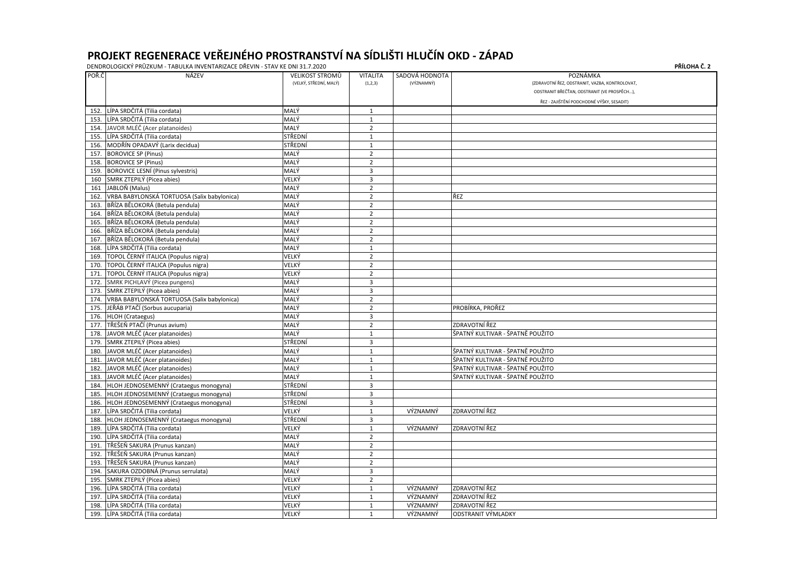| (VELKÝ, STŘEDNÍ, MALÝ)<br>(VÝZNAMNÝ)<br>(1,2,3)<br>ŘEZ - ZAJIŠTĚNÍ PODCHODNÉ VÝŠKY, SESADIT)<br>LÍPA SRDČITÁ (Tilia cordata)<br>MALÝ<br>152.<br>$\mathbf{1}$<br>LÍPA SRDČITÁ (Tilia cordata)<br>MALÝ<br>$\mathbf{1}$<br>153.<br>MALÝ<br>JAVOR MLÉČ (Acer platanoides)<br>$\overline{2}$<br>154.<br>LÍPA SRDČITÁ (Tilia cordata)<br>STŘEDNÍ<br>155.<br>$\mathbf{1}$<br>MODŘÍN OPADAVÝ (Larix decidua)<br>STŘEDNÍ<br>156.<br>$\mathbf{1}$<br>MALÝ<br><b>BOROVICE SP (Pinus)</b><br>$\overline{2}$<br>157.<br>MALÝ<br><b>BOROVICE SP (Pinus)</b><br>$\overline{2}$<br>158.<br>MALÝ<br><b>BOROVICE LESNÍ (Pinus sylvestris)</b><br>$\overline{3}$<br>159.<br>SMRK ZTEPILÝ (Picea abies)<br>3<br>160<br>VELKÝ<br>MALÝ<br>$\overline{2}$<br>JABLOŇ (Malus)<br>161<br>VRBA BABYLONSKÁ TORTUOSA (Salix babylonica)<br>MALÝ<br>$\overline{2}$<br>ŘEZ<br>162.<br>BŘÍZA BĚLOKORÁ (Betula pendula)<br>MALÝ<br>$\overline{2}$<br>163.<br>BŘÍZA BĚLOKORÁ (Betula pendula)<br>MALÝ<br>$\overline{2}$<br>164.<br>165. BŘÍZA BĚLOKORÁ (Betula pendula)<br>MALÝ<br>$\overline{2}$<br>MALÝ<br>BŘÍZA BĚLOKORÁ (Betula pendula)<br>$\overline{2}$<br>166.<br>MALÝ<br>BŘÍZA BĚLOKORÁ (Betula pendula)<br>$\overline{2}$<br>167.<br>LÍPA SRDČITÁ (Tilia cordata)<br>MALÝ<br>168.<br>$\mathbf{1}$<br>TOPOL ČERNÝ ITALICA (Populus nigra)<br>VELKÝ<br>$\overline{2}$<br>169.<br>$\overline{2}$<br>TOPOL ČERNÝ ITALICA (Populus nigra)<br>VELKÝ<br>170.<br>TOPOL ČERNÝ ITALICA (Populus nigra)<br>VELKÝ<br>$\overline{2}$<br>171.<br>SMRK PICHLAVÝ (Picea pungens)<br>MALÝ<br>3<br>172.<br>SMRK ZTEPILÝ (Picea abies)<br>MALÝ<br>3<br>173.<br>VRBA BABYLONSKÁ TORTUOSA (Salix babylonica)<br>MALÝ<br>$\overline{2}$<br>174.<br>MALÝ<br>JEŘÁB PTAČÍ (Sorbus aucuparia)<br>PROBÍRKA, PROŘEZ<br>$\overline{2}$<br>175.<br>176. HLOH (Crataegus)<br>MALÝ<br>3<br>TŘEŠEŇ PTAČÍ (Prunus avium)<br>ZDRAVOTNÍ ŘEZ<br>$\overline{2}$<br>MALÝ<br>177.<br>MALÝ<br>ŠPATNÝ KULTIVAR - ŠPATNĚ POUŽITO<br>JAVOR MLÉČ (Acer platanoides)<br>$\mathbf{1}$<br>178.<br>STŘEDNÍ<br>SMRK ZTEPILÝ (Picea abies)<br>3<br>179.<br>JAVOR MLÉČ (Acer platanoides)<br>MALÝ<br>ŠPATNÝ KULTIVAR - ŠPATNĚ POUŽITO<br>180.<br>$\mathbf 1$<br>JAVOR MLÉČ (Acer platanoides)<br>MALÝ<br>ŠPATNÝ KULTIVAR - ŠPATNĚ POUŽITO<br>181.<br>$\mathbf 1$<br>182. JAVOR MLÉČ (Acer platanoides)<br>MALÝ<br>ŠPATNÝ KULTIVAR - ŠPATNĚ POUŽITO<br>$\mathbf{1}$<br>MALÝ<br>183. JAVOR MLÉČ (Acer platanoides)<br>ŠPATNÝ KULTIVAR - ŠPATNĚ POUŽITO<br>$\mathbf{1}$<br>STŘEDNÍ<br>3<br>HLOH JEDNOSEMENNÝ (Crataegus monogyna)<br>184.<br>3<br>185. HLOH JEDNOSEMENNÝ (Crataegus monogyna)<br>STŘEDNÍ<br>STŘEDNÍ<br>3<br>186. HLOH JEDNOSEMENNÝ (Crataegus monogyna)<br>ZDRAVOTNÍ ŘEZ<br>LÍPA SRDČITÁ (Tilia cordata)<br>VELKÝ<br>VÝZNAMNÝ<br>187.<br>$\mathbf{1}$<br>STŘEDNÍ<br>HLOH JEDNOSEMENNÝ (Crataegus monogyna)<br>3<br>188.<br>LÍPA SRDČITÁ (Tilia cordata)<br>VELKÝ<br>ZDRAVOTNÍ ŘEZ<br>VÝZNAMNÝ<br>189.<br>$\mathbf{1}$<br>MALÝ<br>190. LÍPA SRDČITÁ (Tilia cordata)<br>$\overline{2}$<br>MALÝ<br>TŘEŠEŇ SAKURA (Prunus kanzan)<br>$\overline{2}$<br>191.<br>MALÝ<br>TŘEŠEŇ SAKURA (Prunus kanzan)<br>$\overline{2}$<br>192.<br>MALÝ<br>TŘEŠEŇ SAKURA (Prunus kanzan)<br>$\overline{2}$<br>193.<br>MALÝ<br>SAKURA OZDOBNÁ (Prunus serrulata)<br>3<br>194.<br>SMRK ZTEPILÝ (Picea abies)<br>VELKÝ<br>$\overline{2}$<br>195.<br>LÍPA SRDČITÁ (Tilia cordata)<br>VÝZNAMNÝ<br>ZDRAVOTNÍ ŘEZ<br>VELKÝ<br>196.<br>$\mathbf{1}$<br>LÍPA SRDČITÁ (Tilia cordata)<br>ZDRAVOTNÍ ŘEZ<br>VELKÝ<br>VÝZNAMNÝ<br>197.<br>$\mathbf{1}$ | POŘ.Č | <b>NÁZEV</b> | <b>VELIKOST STROMŮ</b> | <b>VITALITA</b> | SADOVÁ HODNOTA | POZNÁMKA                                      |
|-------------------------------------------------------------------------------------------------------------------------------------------------------------------------------------------------------------------------------------------------------------------------------------------------------------------------------------------------------------------------------------------------------------------------------------------------------------------------------------------------------------------------------------------------------------------------------------------------------------------------------------------------------------------------------------------------------------------------------------------------------------------------------------------------------------------------------------------------------------------------------------------------------------------------------------------------------------------------------------------------------------------------------------------------------------------------------------------------------------------------------------------------------------------------------------------------------------------------------------------------------------------------------------------------------------------------------------------------------------------------------------------------------------------------------------------------------------------------------------------------------------------------------------------------------------------------------------------------------------------------------------------------------------------------------------------------------------------------------------------------------------------------------------------------------------------------------------------------------------------------------------------------------------------------------------------------------------------------------------------------------------------------------------------------------------------------------------------------------------------------------------------------------------------------------------------------------------------------------------------------------------------------------------------------------------------------------------------------------------------------------------------------------------------------------------------------------------------------------------------------------------------------------------------------------------------------------------------------------------------------------------------------------------------------------------------------------------------------------------------------------------------------------------------------------------------------------------------------------------------------------------------------------------------------------------------------------------------------------------------------------------------------------------------------------------------------------------------------------------------------------------------------------------------------------------------------------------------------------------------------------------------------------------------------------------------------------------------------------------------------------------------------------------------------------------------------------------------------------------------------------------------------------------------------------|-------|--------------|------------------------|-----------------|----------------|-----------------------------------------------|
|                                                                                                                                                                                                                                                                                                                                                                                                                                                                                                                                                                                                                                                                                                                                                                                                                                                                                                                                                                                                                                                                                                                                                                                                                                                                                                                                                                                                                                                                                                                                                                                                                                                                                                                                                                                                                                                                                                                                                                                                                                                                                                                                                                                                                                                                                                                                                                                                                                                                                                                                                                                                                                                                                                                                                                                                                                                                                                                                                                                                                                                                                                                                                                                                                                                                                                                                                                                                                                                                                                                                                       |       |              |                        |                 |                | (ZDRAVOTNÍ ŘEZ, ODSTRANIT, VAZBA, KONTROLOVAT |
|                                                                                                                                                                                                                                                                                                                                                                                                                                                                                                                                                                                                                                                                                                                                                                                                                                                                                                                                                                                                                                                                                                                                                                                                                                                                                                                                                                                                                                                                                                                                                                                                                                                                                                                                                                                                                                                                                                                                                                                                                                                                                                                                                                                                                                                                                                                                                                                                                                                                                                                                                                                                                                                                                                                                                                                                                                                                                                                                                                                                                                                                                                                                                                                                                                                                                                                                                                                                                                                                                                                                                       |       |              |                        |                 |                | ODSTRANIT BŘEČŤAN, ODSTRANIT (VE PROSPĚCH),   |
|                                                                                                                                                                                                                                                                                                                                                                                                                                                                                                                                                                                                                                                                                                                                                                                                                                                                                                                                                                                                                                                                                                                                                                                                                                                                                                                                                                                                                                                                                                                                                                                                                                                                                                                                                                                                                                                                                                                                                                                                                                                                                                                                                                                                                                                                                                                                                                                                                                                                                                                                                                                                                                                                                                                                                                                                                                                                                                                                                                                                                                                                                                                                                                                                                                                                                                                                                                                                                                                                                                                                                       |       |              |                        |                 |                |                                               |
|                                                                                                                                                                                                                                                                                                                                                                                                                                                                                                                                                                                                                                                                                                                                                                                                                                                                                                                                                                                                                                                                                                                                                                                                                                                                                                                                                                                                                                                                                                                                                                                                                                                                                                                                                                                                                                                                                                                                                                                                                                                                                                                                                                                                                                                                                                                                                                                                                                                                                                                                                                                                                                                                                                                                                                                                                                                                                                                                                                                                                                                                                                                                                                                                                                                                                                                                                                                                                                                                                                                                                       |       |              |                        |                 |                |                                               |
|                                                                                                                                                                                                                                                                                                                                                                                                                                                                                                                                                                                                                                                                                                                                                                                                                                                                                                                                                                                                                                                                                                                                                                                                                                                                                                                                                                                                                                                                                                                                                                                                                                                                                                                                                                                                                                                                                                                                                                                                                                                                                                                                                                                                                                                                                                                                                                                                                                                                                                                                                                                                                                                                                                                                                                                                                                                                                                                                                                                                                                                                                                                                                                                                                                                                                                                                                                                                                                                                                                                                                       |       |              |                        |                 |                |                                               |
|                                                                                                                                                                                                                                                                                                                                                                                                                                                                                                                                                                                                                                                                                                                                                                                                                                                                                                                                                                                                                                                                                                                                                                                                                                                                                                                                                                                                                                                                                                                                                                                                                                                                                                                                                                                                                                                                                                                                                                                                                                                                                                                                                                                                                                                                                                                                                                                                                                                                                                                                                                                                                                                                                                                                                                                                                                                                                                                                                                                                                                                                                                                                                                                                                                                                                                                                                                                                                                                                                                                                                       |       |              |                        |                 |                |                                               |
|                                                                                                                                                                                                                                                                                                                                                                                                                                                                                                                                                                                                                                                                                                                                                                                                                                                                                                                                                                                                                                                                                                                                                                                                                                                                                                                                                                                                                                                                                                                                                                                                                                                                                                                                                                                                                                                                                                                                                                                                                                                                                                                                                                                                                                                                                                                                                                                                                                                                                                                                                                                                                                                                                                                                                                                                                                                                                                                                                                                                                                                                                                                                                                                                                                                                                                                                                                                                                                                                                                                                                       |       |              |                        |                 |                |                                               |
|                                                                                                                                                                                                                                                                                                                                                                                                                                                                                                                                                                                                                                                                                                                                                                                                                                                                                                                                                                                                                                                                                                                                                                                                                                                                                                                                                                                                                                                                                                                                                                                                                                                                                                                                                                                                                                                                                                                                                                                                                                                                                                                                                                                                                                                                                                                                                                                                                                                                                                                                                                                                                                                                                                                                                                                                                                                                                                                                                                                                                                                                                                                                                                                                                                                                                                                                                                                                                                                                                                                                                       |       |              |                        |                 |                |                                               |
|                                                                                                                                                                                                                                                                                                                                                                                                                                                                                                                                                                                                                                                                                                                                                                                                                                                                                                                                                                                                                                                                                                                                                                                                                                                                                                                                                                                                                                                                                                                                                                                                                                                                                                                                                                                                                                                                                                                                                                                                                                                                                                                                                                                                                                                                                                                                                                                                                                                                                                                                                                                                                                                                                                                                                                                                                                                                                                                                                                                                                                                                                                                                                                                                                                                                                                                                                                                                                                                                                                                                                       |       |              |                        |                 |                |                                               |
|                                                                                                                                                                                                                                                                                                                                                                                                                                                                                                                                                                                                                                                                                                                                                                                                                                                                                                                                                                                                                                                                                                                                                                                                                                                                                                                                                                                                                                                                                                                                                                                                                                                                                                                                                                                                                                                                                                                                                                                                                                                                                                                                                                                                                                                                                                                                                                                                                                                                                                                                                                                                                                                                                                                                                                                                                                                                                                                                                                                                                                                                                                                                                                                                                                                                                                                                                                                                                                                                                                                                                       |       |              |                        |                 |                |                                               |
|                                                                                                                                                                                                                                                                                                                                                                                                                                                                                                                                                                                                                                                                                                                                                                                                                                                                                                                                                                                                                                                                                                                                                                                                                                                                                                                                                                                                                                                                                                                                                                                                                                                                                                                                                                                                                                                                                                                                                                                                                                                                                                                                                                                                                                                                                                                                                                                                                                                                                                                                                                                                                                                                                                                                                                                                                                                                                                                                                                                                                                                                                                                                                                                                                                                                                                                                                                                                                                                                                                                                                       |       |              |                        |                 |                |                                               |
|                                                                                                                                                                                                                                                                                                                                                                                                                                                                                                                                                                                                                                                                                                                                                                                                                                                                                                                                                                                                                                                                                                                                                                                                                                                                                                                                                                                                                                                                                                                                                                                                                                                                                                                                                                                                                                                                                                                                                                                                                                                                                                                                                                                                                                                                                                                                                                                                                                                                                                                                                                                                                                                                                                                                                                                                                                                                                                                                                                                                                                                                                                                                                                                                                                                                                                                                                                                                                                                                                                                                                       |       |              |                        |                 |                |                                               |
|                                                                                                                                                                                                                                                                                                                                                                                                                                                                                                                                                                                                                                                                                                                                                                                                                                                                                                                                                                                                                                                                                                                                                                                                                                                                                                                                                                                                                                                                                                                                                                                                                                                                                                                                                                                                                                                                                                                                                                                                                                                                                                                                                                                                                                                                                                                                                                                                                                                                                                                                                                                                                                                                                                                                                                                                                                                                                                                                                                                                                                                                                                                                                                                                                                                                                                                                                                                                                                                                                                                                                       |       |              |                        |                 |                |                                               |
|                                                                                                                                                                                                                                                                                                                                                                                                                                                                                                                                                                                                                                                                                                                                                                                                                                                                                                                                                                                                                                                                                                                                                                                                                                                                                                                                                                                                                                                                                                                                                                                                                                                                                                                                                                                                                                                                                                                                                                                                                                                                                                                                                                                                                                                                                                                                                                                                                                                                                                                                                                                                                                                                                                                                                                                                                                                                                                                                                                                                                                                                                                                                                                                                                                                                                                                                                                                                                                                                                                                                                       |       |              |                        |                 |                |                                               |
|                                                                                                                                                                                                                                                                                                                                                                                                                                                                                                                                                                                                                                                                                                                                                                                                                                                                                                                                                                                                                                                                                                                                                                                                                                                                                                                                                                                                                                                                                                                                                                                                                                                                                                                                                                                                                                                                                                                                                                                                                                                                                                                                                                                                                                                                                                                                                                                                                                                                                                                                                                                                                                                                                                                                                                                                                                                                                                                                                                                                                                                                                                                                                                                                                                                                                                                                                                                                                                                                                                                                                       |       |              |                        |                 |                |                                               |
|                                                                                                                                                                                                                                                                                                                                                                                                                                                                                                                                                                                                                                                                                                                                                                                                                                                                                                                                                                                                                                                                                                                                                                                                                                                                                                                                                                                                                                                                                                                                                                                                                                                                                                                                                                                                                                                                                                                                                                                                                                                                                                                                                                                                                                                                                                                                                                                                                                                                                                                                                                                                                                                                                                                                                                                                                                                                                                                                                                                                                                                                                                                                                                                                                                                                                                                                                                                                                                                                                                                                                       |       |              |                        |                 |                |                                               |
|                                                                                                                                                                                                                                                                                                                                                                                                                                                                                                                                                                                                                                                                                                                                                                                                                                                                                                                                                                                                                                                                                                                                                                                                                                                                                                                                                                                                                                                                                                                                                                                                                                                                                                                                                                                                                                                                                                                                                                                                                                                                                                                                                                                                                                                                                                                                                                                                                                                                                                                                                                                                                                                                                                                                                                                                                                                                                                                                                                                                                                                                                                                                                                                                                                                                                                                                                                                                                                                                                                                                                       |       |              |                        |                 |                |                                               |
|                                                                                                                                                                                                                                                                                                                                                                                                                                                                                                                                                                                                                                                                                                                                                                                                                                                                                                                                                                                                                                                                                                                                                                                                                                                                                                                                                                                                                                                                                                                                                                                                                                                                                                                                                                                                                                                                                                                                                                                                                                                                                                                                                                                                                                                                                                                                                                                                                                                                                                                                                                                                                                                                                                                                                                                                                                                                                                                                                                                                                                                                                                                                                                                                                                                                                                                                                                                                                                                                                                                                                       |       |              |                        |                 |                |                                               |
|                                                                                                                                                                                                                                                                                                                                                                                                                                                                                                                                                                                                                                                                                                                                                                                                                                                                                                                                                                                                                                                                                                                                                                                                                                                                                                                                                                                                                                                                                                                                                                                                                                                                                                                                                                                                                                                                                                                                                                                                                                                                                                                                                                                                                                                                                                                                                                                                                                                                                                                                                                                                                                                                                                                                                                                                                                                                                                                                                                                                                                                                                                                                                                                                                                                                                                                                                                                                                                                                                                                                                       |       |              |                        |                 |                |                                               |
|                                                                                                                                                                                                                                                                                                                                                                                                                                                                                                                                                                                                                                                                                                                                                                                                                                                                                                                                                                                                                                                                                                                                                                                                                                                                                                                                                                                                                                                                                                                                                                                                                                                                                                                                                                                                                                                                                                                                                                                                                                                                                                                                                                                                                                                                                                                                                                                                                                                                                                                                                                                                                                                                                                                                                                                                                                                                                                                                                                                                                                                                                                                                                                                                                                                                                                                                                                                                                                                                                                                                                       |       |              |                        |                 |                |                                               |
|                                                                                                                                                                                                                                                                                                                                                                                                                                                                                                                                                                                                                                                                                                                                                                                                                                                                                                                                                                                                                                                                                                                                                                                                                                                                                                                                                                                                                                                                                                                                                                                                                                                                                                                                                                                                                                                                                                                                                                                                                                                                                                                                                                                                                                                                                                                                                                                                                                                                                                                                                                                                                                                                                                                                                                                                                                                                                                                                                                                                                                                                                                                                                                                                                                                                                                                                                                                                                                                                                                                                                       |       |              |                        |                 |                |                                               |
|                                                                                                                                                                                                                                                                                                                                                                                                                                                                                                                                                                                                                                                                                                                                                                                                                                                                                                                                                                                                                                                                                                                                                                                                                                                                                                                                                                                                                                                                                                                                                                                                                                                                                                                                                                                                                                                                                                                                                                                                                                                                                                                                                                                                                                                                                                                                                                                                                                                                                                                                                                                                                                                                                                                                                                                                                                                                                                                                                                                                                                                                                                                                                                                                                                                                                                                                                                                                                                                                                                                                                       |       |              |                        |                 |                |                                               |
|                                                                                                                                                                                                                                                                                                                                                                                                                                                                                                                                                                                                                                                                                                                                                                                                                                                                                                                                                                                                                                                                                                                                                                                                                                                                                                                                                                                                                                                                                                                                                                                                                                                                                                                                                                                                                                                                                                                                                                                                                                                                                                                                                                                                                                                                                                                                                                                                                                                                                                                                                                                                                                                                                                                                                                                                                                                                                                                                                                                                                                                                                                                                                                                                                                                                                                                                                                                                                                                                                                                                                       |       |              |                        |                 |                |                                               |
|                                                                                                                                                                                                                                                                                                                                                                                                                                                                                                                                                                                                                                                                                                                                                                                                                                                                                                                                                                                                                                                                                                                                                                                                                                                                                                                                                                                                                                                                                                                                                                                                                                                                                                                                                                                                                                                                                                                                                                                                                                                                                                                                                                                                                                                                                                                                                                                                                                                                                                                                                                                                                                                                                                                                                                                                                                                                                                                                                                                                                                                                                                                                                                                                                                                                                                                                                                                                                                                                                                                                                       |       |              |                        |                 |                |                                               |
|                                                                                                                                                                                                                                                                                                                                                                                                                                                                                                                                                                                                                                                                                                                                                                                                                                                                                                                                                                                                                                                                                                                                                                                                                                                                                                                                                                                                                                                                                                                                                                                                                                                                                                                                                                                                                                                                                                                                                                                                                                                                                                                                                                                                                                                                                                                                                                                                                                                                                                                                                                                                                                                                                                                                                                                                                                                                                                                                                                                                                                                                                                                                                                                                                                                                                                                                                                                                                                                                                                                                                       |       |              |                        |                 |                |                                               |
|                                                                                                                                                                                                                                                                                                                                                                                                                                                                                                                                                                                                                                                                                                                                                                                                                                                                                                                                                                                                                                                                                                                                                                                                                                                                                                                                                                                                                                                                                                                                                                                                                                                                                                                                                                                                                                                                                                                                                                                                                                                                                                                                                                                                                                                                                                                                                                                                                                                                                                                                                                                                                                                                                                                                                                                                                                                                                                                                                                                                                                                                                                                                                                                                                                                                                                                                                                                                                                                                                                                                                       |       |              |                        |                 |                |                                               |
|                                                                                                                                                                                                                                                                                                                                                                                                                                                                                                                                                                                                                                                                                                                                                                                                                                                                                                                                                                                                                                                                                                                                                                                                                                                                                                                                                                                                                                                                                                                                                                                                                                                                                                                                                                                                                                                                                                                                                                                                                                                                                                                                                                                                                                                                                                                                                                                                                                                                                                                                                                                                                                                                                                                                                                                                                                                                                                                                                                                                                                                                                                                                                                                                                                                                                                                                                                                                                                                                                                                                                       |       |              |                        |                 |                |                                               |
|                                                                                                                                                                                                                                                                                                                                                                                                                                                                                                                                                                                                                                                                                                                                                                                                                                                                                                                                                                                                                                                                                                                                                                                                                                                                                                                                                                                                                                                                                                                                                                                                                                                                                                                                                                                                                                                                                                                                                                                                                                                                                                                                                                                                                                                                                                                                                                                                                                                                                                                                                                                                                                                                                                                                                                                                                                                                                                                                                                                                                                                                                                                                                                                                                                                                                                                                                                                                                                                                                                                                                       |       |              |                        |                 |                |                                               |
|                                                                                                                                                                                                                                                                                                                                                                                                                                                                                                                                                                                                                                                                                                                                                                                                                                                                                                                                                                                                                                                                                                                                                                                                                                                                                                                                                                                                                                                                                                                                                                                                                                                                                                                                                                                                                                                                                                                                                                                                                                                                                                                                                                                                                                                                                                                                                                                                                                                                                                                                                                                                                                                                                                                                                                                                                                                                                                                                                                                                                                                                                                                                                                                                                                                                                                                                                                                                                                                                                                                                                       |       |              |                        |                 |                |                                               |
|                                                                                                                                                                                                                                                                                                                                                                                                                                                                                                                                                                                                                                                                                                                                                                                                                                                                                                                                                                                                                                                                                                                                                                                                                                                                                                                                                                                                                                                                                                                                                                                                                                                                                                                                                                                                                                                                                                                                                                                                                                                                                                                                                                                                                                                                                                                                                                                                                                                                                                                                                                                                                                                                                                                                                                                                                                                                                                                                                                                                                                                                                                                                                                                                                                                                                                                                                                                                                                                                                                                                                       |       |              |                        |                 |                |                                               |
|                                                                                                                                                                                                                                                                                                                                                                                                                                                                                                                                                                                                                                                                                                                                                                                                                                                                                                                                                                                                                                                                                                                                                                                                                                                                                                                                                                                                                                                                                                                                                                                                                                                                                                                                                                                                                                                                                                                                                                                                                                                                                                                                                                                                                                                                                                                                                                                                                                                                                                                                                                                                                                                                                                                                                                                                                                                                                                                                                                                                                                                                                                                                                                                                                                                                                                                                                                                                                                                                                                                                                       |       |              |                        |                 |                |                                               |
|                                                                                                                                                                                                                                                                                                                                                                                                                                                                                                                                                                                                                                                                                                                                                                                                                                                                                                                                                                                                                                                                                                                                                                                                                                                                                                                                                                                                                                                                                                                                                                                                                                                                                                                                                                                                                                                                                                                                                                                                                                                                                                                                                                                                                                                                                                                                                                                                                                                                                                                                                                                                                                                                                                                                                                                                                                                                                                                                                                                                                                                                                                                                                                                                                                                                                                                                                                                                                                                                                                                                                       |       |              |                        |                 |                |                                               |
|                                                                                                                                                                                                                                                                                                                                                                                                                                                                                                                                                                                                                                                                                                                                                                                                                                                                                                                                                                                                                                                                                                                                                                                                                                                                                                                                                                                                                                                                                                                                                                                                                                                                                                                                                                                                                                                                                                                                                                                                                                                                                                                                                                                                                                                                                                                                                                                                                                                                                                                                                                                                                                                                                                                                                                                                                                                                                                                                                                                                                                                                                                                                                                                                                                                                                                                                                                                                                                                                                                                                                       |       |              |                        |                 |                |                                               |
|                                                                                                                                                                                                                                                                                                                                                                                                                                                                                                                                                                                                                                                                                                                                                                                                                                                                                                                                                                                                                                                                                                                                                                                                                                                                                                                                                                                                                                                                                                                                                                                                                                                                                                                                                                                                                                                                                                                                                                                                                                                                                                                                                                                                                                                                                                                                                                                                                                                                                                                                                                                                                                                                                                                                                                                                                                                                                                                                                                                                                                                                                                                                                                                                                                                                                                                                                                                                                                                                                                                                                       |       |              |                        |                 |                |                                               |
|                                                                                                                                                                                                                                                                                                                                                                                                                                                                                                                                                                                                                                                                                                                                                                                                                                                                                                                                                                                                                                                                                                                                                                                                                                                                                                                                                                                                                                                                                                                                                                                                                                                                                                                                                                                                                                                                                                                                                                                                                                                                                                                                                                                                                                                                                                                                                                                                                                                                                                                                                                                                                                                                                                                                                                                                                                                                                                                                                                                                                                                                                                                                                                                                                                                                                                                                                                                                                                                                                                                                                       |       |              |                        |                 |                |                                               |
|                                                                                                                                                                                                                                                                                                                                                                                                                                                                                                                                                                                                                                                                                                                                                                                                                                                                                                                                                                                                                                                                                                                                                                                                                                                                                                                                                                                                                                                                                                                                                                                                                                                                                                                                                                                                                                                                                                                                                                                                                                                                                                                                                                                                                                                                                                                                                                                                                                                                                                                                                                                                                                                                                                                                                                                                                                                                                                                                                                                                                                                                                                                                                                                                                                                                                                                                                                                                                                                                                                                                                       |       |              |                        |                 |                |                                               |
|                                                                                                                                                                                                                                                                                                                                                                                                                                                                                                                                                                                                                                                                                                                                                                                                                                                                                                                                                                                                                                                                                                                                                                                                                                                                                                                                                                                                                                                                                                                                                                                                                                                                                                                                                                                                                                                                                                                                                                                                                                                                                                                                                                                                                                                                                                                                                                                                                                                                                                                                                                                                                                                                                                                                                                                                                                                                                                                                                                                                                                                                                                                                                                                                                                                                                                                                                                                                                                                                                                                                                       |       |              |                        |                 |                |                                               |
|                                                                                                                                                                                                                                                                                                                                                                                                                                                                                                                                                                                                                                                                                                                                                                                                                                                                                                                                                                                                                                                                                                                                                                                                                                                                                                                                                                                                                                                                                                                                                                                                                                                                                                                                                                                                                                                                                                                                                                                                                                                                                                                                                                                                                                                                                                                                                                                                                                                                                                                                                                                                                                                                                                                                                                                                                                                                                                                                                                                                                                                                                                                                                                                                                                                                                                                                                                                                                                                                                                                                                       |       |              |                        |                 |                |                                               |
|                                                                                                                                                                                                                                                                                                                                                                                                                                                                                                                                                                                                                                                                                                                                                                                                                                                                                                                                                                                                                                                                                                                                                                                                                                                                                                                                                                                                                                                                                                                                                                                                                                                                                                                                                                                                                                                                                                                                                                                                                                                                                                                                                                                                                                                                                                                                                                                                                                                                                                                                                                                                                                                                                                                                                                                                                                                                                                                                                                                                                                                                                                                                                                                                                                                                                                                                                                                                                                                                                                                                                       |       |              |                        |                 |                |                                               |
|                                                                                                                                                                                                                                                                                                                                                                                                                                                                                                                                                                                                                                                                                                                                                                                                                                                                                                                                                                                                                                                                                                                                                                                                                                                                                                                                                                                                                                                                                                                                                                                                                                                                                                                                                                                                                                                                                                                                                                                                                                                                                                                                                                                                                                                                                                                                                                                                                                                                                                                                                                                                                                                                                                                                                                                                                                                                                                                                                                                                                                                                                                                                                                                                                                                                                                                                                                                                                                                                                                                                                       |       |              |                        |                 |                |                                               |
|                                                                                                                                                                                                                                                                                                                                                                                                                                                                                                                                                                                                                                                                                                                                                                                                                                                                                                                                                                                                                                                                                                                                                                                                                                                                                                                                                                                                                                                                                                                                                                                                                                                                                                                                                                                                                                                                                                                                                                                                                                                                                                                                                                                                                                                                                                                                                                                                                                                                                                                                                                                                                                                                                                                                                                                                                                                                                                                                                                                                                                                                                                                                                                                                                                                                                                                                                                                                                                                                                                                                                       |       |              |                        |                 |                |                                               |
|                                                                                                                                                                                                                                                                                                                                                                                                                                                                                                                                                                                                                                                                                                                                                                                                                                                                                                                                                                                                                                                                                                                                                                                                                                                                                                                                                                                                                                                                                                                                                                                                                                                                                                                                                                                                                                                                                                                                                                                                                                                                                                                                                                                                                                                                                                                                                                                                                                                                                                                                                                                                                                                                                                                                                                                                                                                                                                                                                                                                                                                                                                                                                                                                                                                                                                                                                                                                                                                                                                                                                       |       |              |                        |                 |                |                                               |
|                                                                                                                                                                                                                                                                                                                                                                                                                                                                                                                                                                                                                                                                                                                                                                                                                                                                                                                                                                                                                                                                                                                                                                                                                                                                                                                                                                                                                                                                                                                                                                                                                                                                                                                                                                                                                                                                                                                                                                                                                                                                                                                                                                                                                                                                                                                                                                                                                                                                                                                                                                                                                                                                                                                                                                                                                                                                                                                                                                                                                                                                                                                                                                                                                                                                                                                                                                                                                                                                                                                                                       |       |              |                        |                 |                |                                               |
|                                                                                                                                                                                                                                                                                                                                                                                                                                                                                                                                                                                                                                                                                                                                                                                                                                                                                                                                                                                                                                                                                                                                                                                                                                                                                                                                                                                                                                                                                                                                                                                                                                                                                                                                                                                                                                                                                                                                                                                                                                                                                                                                                                                                                                                                                                                                                                                                                                                                                                                                                                                                                                                                                                                                                                                                                                                                                                                                                                                                                                                                                                                                                                                                                                                                                                                                                                                                                                                                                                                                                       |       |              |                        |                 |                |                                               |
|                                                                                                                                                                                                                                                                                                                                                                                                                                                                                                                                                                                                                                                                                                                                                                                                                                                                                                                                                                                                                                                                                                                                                                                                                                                                                                                                                                                                                                                                                                                                                                                                                                                                                                                                                                                                                                                                                                                                                                                                                                                                                                                                                                                                                                                                                                                                                                                                                                                                                                                                                                                                                                                                                                                                                                                                                                                                                                                                                                                                                                                                                                                                                                                                                                                                                                                                                                                                                                                                                                                                                       |       |              |                        |                 |                |                                               |
|                                                                                                                                                                                                                                                                                                                                                                                                                                                                                                                                                                                                                                                                                                                                                                                                                                                                                                                                                                                                                                                                                                                                                                                                                                                                                                                                                                                                                                                                                                                                                                                                                                                                                                                                                                                                                                                                                                                                                                                                                                                                                                                                                                                                                                                                                                                                                                                                                                                                                                                                                                                                                                                                                                                                                                                                                                                                                                                                                                                                                                                                                                                                                                                                                                                                                                                                                                                                                                                                                                                                                       |       |              |                        |                 |                |                                               |
|                                                                                                                                                                                                                                                                                                                                                                                                                                                                                                                                                                                                                                                                                                                                                                                                                                                                                                                                                                                                                                                                                                                                                                                                                                                                                                                                                                                                                                                                                                                                                                                                                                                                                                                                                                                                                                                                                                                                                                                                                                                                                                                                                                                                                                                                                                                                                                                                                                                                                                                                                                                                                                                                                                                                                                                                                                                                                                                                                                                                                                                                                                                                                                                                                                                                                                                                                                                                                                                                                                                                                       |       |              |                        |                 |                |                                               |
|                                                                                                                                                                                                                                                                                                                                                                                                                                                                                                                                                                                                                                                                                                                                                                                                                                                                                                                                                                                                                                                                                                                                                                                                                                                                                                                                                                                                                                                                                                                                                                                                                                                                                                                                                                                                                                                                                                                                                                                                                                                                                                                                                                                                                                                                                                                                                                                                                                                                                                                                                                                                                                                                                                                                                                                                                                                                                                                                                                                                                                                                                                                                                                                                                                                                                                                                                                                                                                                                                                                                                       |       |              |                        |                 |                |                                               |
|                                                                                                                                                                                                                                                                                                                                                                                                                                                                                                                                                                                                                                                                                                                                                                                                                                                                                                                                                                                                                                                                                                                                                                                                                                                                                                                                                                                                                                                                                                                                                                                                                                                                                                                                                                                                                                                                                                                                                                                                                                                                                                                                                                                                                                                                                                                                                                                                                                                                                                                                                                                                                                                                                                                                                                                                                                                                                                                                                                                                                                                                                                                                                                                                                                                                                                                                                                                                                                                                                                                                                       |       |              |                        |                 |                |                                               |
| ZDRAVOTNÍ ŘEZ<br>198. LÍPA SRDČITÁ (Tilia cordata)<br>VELKÝ<br>VÝZNAMNÝ<br>$\mathbf{1}$                                                                                                                                                                                                                                                                                                                                                                                                                                                                                                                                                                                                                                                                                                                                                                                                                                                                                                                                                                                                                                                                                                                                                                                                                                                                                                                                                                                                                                                                                                                                                                                                                                                                                                                                                                                                                                                                                                                                                                                                                                                                                                                                                                                                                                                                                                                                                                                                                                                                                                                                                                                                                                                                                                                                                                                                                                                                                                                                                                                                                                                                                                                                                                                                                                                                                                                                                                                                                                                               |       |              |                        |                 |                |                                               |
| 199. LÍPA SRDČITÁ (Tilia cordata)<br>VELKÝ<br>VÝZNAMNÝ<br>ODSTRANIT VÝMLADKY<br>$\mathbf{1}$                                                                                                                                                                                                                                                                                                                                                                                                                                                                                                                                                                                                                                                                                                                                                                                                                                                                                                                                                                                                                                                                                                                                                                                                                                                                                                                                                                                                                                                                                                                                                                                                                                                                                                                                                                                                                                                                                                                                                                                                                                                                                                                                                                                                                                                                                                                                                                                                                                                                                                                                                                                                                                                                                                                                                                                                                                                                                                                                                                                                                                                                                                                                                                                                                                                                                                                                                                                                                                                          |       |              |                        |                 |                |                                               |

| PŘÍLOHA Č. 2 |  |
|--------------|--|
|--------------|--|

| KONTROLOVAT,               |
|----------------------------|
| E PROSPĚCH),               |
| KY, SESADIT <mark>)</mark> |
|                            |
|                            |
|                            |
|                            |
|                            |
|                            |
|                            |
|                            |
|                            |
|                            |
|                            |
|                            |
|                            |
|                            |
|                            |
|                            |
|                            |
|                            |
|                            |
|                            |
|                            |
|                            |
|                            |
|                            |
|                            |
|                            |
|                            |
|                            |
|                            |
|                            |
|                            |
|                            |
|                            |
|                            |
|                            |
|                            |
|                            |
|                            |
|                            |
|                            |
|                            |
|                            |
|                            |
|                            |
|                            |
|                            |
|                            |
|                            |
|                            |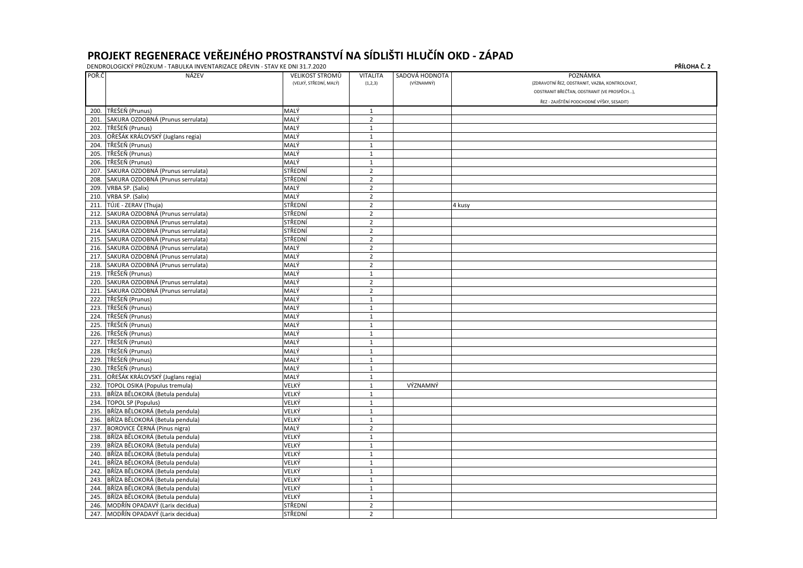| POŘ.Č | <b>NÁZEV</b>                           | <b>VELIKOST STROMŮ</b> | <b>VITALITA</b> | SADOVÁ HODNOTA | POZNÁMKA                                       |
|-------|----------------------------------------|------------------------|-----------------|----------------|------------------------------------------------|
|       |                                        | (VELKÝ, STŘEDNÍ, MALÝ) | (1,2,3)         | (VÝZNAMNÝ)     | (ZDRAVOTNÍ ŘEZ, ODSTRANIT, VAZBA, KONTROLOVAT) |
|       |                                        |                        |                 |                | ODSTRANIT BŘEČŤAN, ODSTRANIT (VE PROSPĚCH),    |
|       |                                        |                        |                 |                | ŘEZ - ZAJIŠTĚNÍ PODCHODNÉ VÝŠKY, SESADIT)      |
| 200.  | TŘEŠEŇ (Prunus)                        | MALÝ                   | $\mathbf{1}$    |                |                                                |
| 201   | SAKURA OZDOBNÁ (Prunus serrulata)      | MALÝ                   | $\overline{2}$  |                |                                                |
| 202.  | TŘEŠEŇ (Prunus)                        | MALÝ                   | $\mathbf 1$     |                |                                                |
| 203.  | OŘEŠÁK KRÁLOVSKÝ (Juglans regia)       | MALÝ                   | $\mathbf{1}$    |                |                                                |
| 204.  | TŘEŠEŇ (Prunus)                        | MALÝ                   | $\mathbf{1}$    |                |                                                |
| 205.  | TŘEŠEŇ (Prunus)                        | MALÝ                   | $\mathbf{1}$    |                |                                                |
| 206.  | TŘEŠEŇ (Prunus)                        | MALÝ                   | $\mathbf{1}$    |                |                                                |
| 207.  | SAKURA OZDOBNÁ (Prunus serrulata)      | STŘEDNÍ                | $\overline{2}$  |                |                                                |
| 208.  | SAKURA OZDOBNÁ (Prunus serrulata)      | STŘEDNÍ                | $\mathbf 2$     |                |                                                |
| 209.  | VRBA SP. (Salix)                       | MALÝ                   | $\overline{2}$  |                |                                                |
| 210.  | VRBA SP. (Salix)                       | MALÝ                   | $\overline{2}$  |                |                                                |
| 211.  | TÚJE - ZERAV (Thuja)                   | STŘEDNÍ                | $\overline{2}$  |                | 4 kusy                                         |
| 212.  | SAKURA OZDOBNÁ (Prunus serrulata)      | STŘEDNÍ                | $\overline{2}$  |                |                                                |
|       | 213. SAKURA OZDOBNÁ (Prunus serrulata) | STŘEDNÍ                | $\overline{2}$  |                |                                                |
| 214.  | SAKURA OZDOBNÁ (Prunus serrulata)      | STŘEDNÍ                | $\overline{2}$  |                |                                                |
| 215.  | SAKURA OZDOBNÁ (Prunus serrulata)      | STŘEDNÍ                | $\overline{2}$  |                |                                                |
| 216.  | SAKURA OZDOBNÁ (Prunus serrulata)      | MALÝ                   | $\overline{2}$  |                |                                                |
| 217.  | SAKURA OZDOBNÁ (Prunus serrulata)      | MALÝ                   | $\overline{2}$  |                |                                                |
| 218.  | SAKURA OZDOBNÁ (Prunus serrulata)      | MALÝ                   | $\overline{2}$  |                |                                                |
| 219.  | TŘEŠEŇ (Prunus)                        | MALÝ                   | $\mathbf{1}$    |                |                                                |
| 220.  | SAKURA OZDOBNÁ (Prunus serrulata)      | MALÝ                   | $\overline{2}$  |                |                                                |
|       | 221. SAKURA OZDOBNÁ (Prunus serrulata) | MALÝ                   | $\overline{2}$  |                |                                                |
| 222.  | TŘEŠEŇ (Prunus)                        | MALÝ                   | $\mathbf{1}$    |                |                                                |
| 223.  | TŘEŠEŇ (Prunus)                        | MALÝ                   | $\mathbf{1}$    |                |                                                |
| 224.  | TŘEŠEŇ (Prunus)                        | MALÝ                   | $\mathbf{1}$    |                |                                                |
| 225.  | TŘEŠEŇ (Prunus)                        | MALÝ                   | $\mathbf{1}$    |                |                                                |
| 226.  | TŘEŠEŇ (Prunus)                        | MALÝ                   | $\mathbf{1}$    |                |                                                |
| 227.  | TŘEŠEŇ (Prunus)                        | MALÝ                   | $\mathbf{1}$    |                |                                                |
| 228.  | TŘEŠEŇ (Prunus)                        | MALÝ                   | $\mathbf{1}$    |                |                                                |
| 229.  | TŘEŠEŇ (Prunus)                        | MALÝ                   | 1               |                |                                                |
| 230.  | TŘEŠEŇ (Prunus)                        | MALÝ                   | $\mathbf{1}$    |                |                                                |
|       | 231. OŘEŠÁK KRÁLOVSKÝ (Juglans regia)  | MALÝ                   | $\mathbf 1$     |                |                                                |
| 232.  | TOPOL OSIKA (Populus tremula)          | VELKÝ                  | $\mathbf 1$     | VÝZNAMNÝ       |                                                |
| 233.  | BŘÍZA BĚLOKORÁ (Betula pendula)        | VELKÝ                  | $\mathbf{1}$    |                |                                                |
| 234.  | TOPOL SP (Populus)                     | VELKÝ                  | $\mathbf{1}$    |                |                                                |
| 235.  | BŘÍZA BĚLOKORÁ (Betula pendula)        | VELKÝ                  | $\mathbf 1$     |                |                                                |
| 236.  | BŘÍZA BĚLOKORÁ (Betula pendula)        | VELKÝ                  | $\mathbf{1}$    |                |                                                |
| 237.  | BOROVICE ČERNÁ (Pinus nigra)           | MALÝ                   | $\overline{2}$  |                |                                                |
|       | 238. BŘÍZA BĚLOKORÁ (Betula pendula)   | VELKÝ                  | $\mathbf{1}$    |                |                                                |
|       | 239. BŘÍZA BĚLOKORÁ (Betula pendula)   | VELKÝ                  | $\mathbf{1}$    |                |                                                |
|       | 240. BŘÍZA BĚLOKORÁ (Betula pendula)   | VELKÝ                  | $\mathbf{1}$    |                |                                                |
| 241.  | BŘÍZA BĚLOKORÁ (Betula pendula)        | VELKÝ                  | $\mathbf{1}$    |                |                                                |
| 242.  | BŘÍZA BĚLOKORÁ (Betula pendula)        | VELKÝ                  | $\mathbf{1}$    |                |                                                |
| 243.  | BŘÍZA BĚLOKORÁ (Betula pendula)        | VELKÝ                  | $\mathbf{1}$    |                |                                                |
| 244.  | BŘÍZA BĚLOKORÁ (Betula pendula)        | VELKÝ                  | $\mathbf{1}$    |                |                                                |
|       | 245. BŘÍZA BĚLOKORÁ (Betula pendula)   | VELKÝ                  | $\mathbf{1}$    |                |                                                |
|       | 246. MODŘÍN OPADAVÝ (Larix decidua)    | STŘEDNÍ                | $\overline{2}$  |                |                                                |
|       | 247. MODŘÍN OPADAVÝ (Larix decidua)    | STŘEDNÍ                | $\overline{2}$  |                |                                                |
|       |                                        |                        |                 |                |                                                |

| PŘÍLOHA Č. 2 |  |
|--------------|--|
|--------------|--|

| KONTROLOVAT,               |
|----------------------------|
| E PROSPĚCH),               |
| KY, SESADIT <mark>)</mark> |
|                            |
|                            |
|                            |
|                            |
|                            |
|                            |
|                            |
|                            |
|                            |
|                            |
|                            |
|                            |
|                            |
|                            |
|                            |
|                            |
|                            |
|                            |
|                            |
|                            |
|                            |
|                            |
|                            |
|                            |
|                            |
|                            |
|                            |
|                            |
|                            |
|                            |
|                            |
|                            |
|                            |
|                            |
|                            |
|                            |
|                            |
|                            |
|                            |
|                            |
|                            |
|                            |
|                            |
|                            |
|                            |
|                            |
|                            |
|                            |
|                            |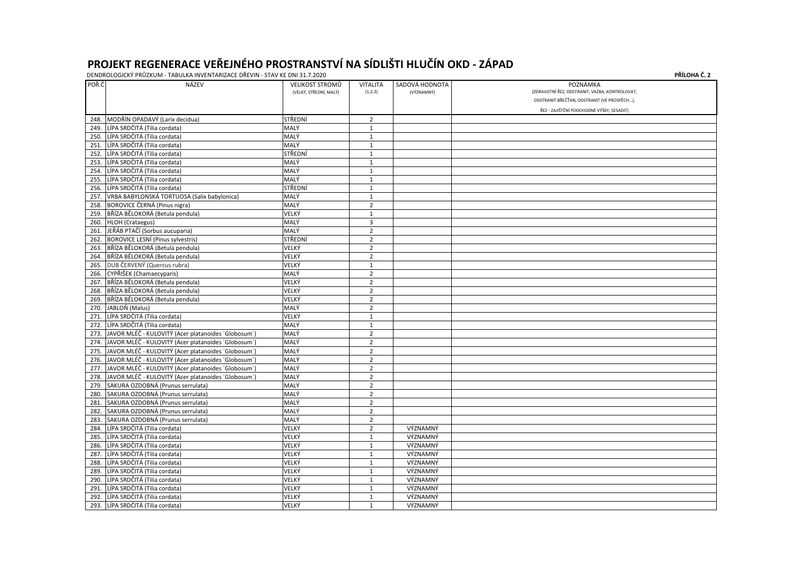| POŘ.Č | NÁZEV                                               | <b>VELIKOST STROMŮ</b> | <b>VITALITA</b> | SADOVÁ HODNOTA | POZNÁMKA                                       |
|-------|-----------------------------------------------------|------------------------|-----------------|----------------|------------------------------------------------|
|       |                                                     | (VELKÝ, STŘEDNÍ, MALÝ) | (1,2,3)         | (VÝZNAMNÝ)     | (ZDRAVOTNÍ ŘEZ, ODSTRANIT, VAZBA, KONTROLOVAT) |
|       |                                                     |                        |                 |                | ODSTRANIT BŘEČŤAN, ODSTRANIT (VE PROSPĚCH),    |
|       |                                                     |                        |                 |                | ŘEZ - ZAJIŠTĚNÍ PODCHODNÉ VÝŠKY, SESADIT)      |
| 248.  | MODŘÍN OPADAVÝ (Larix decidua)                      | STŘEDNÍ                | $\overline{2}$  |                |                                                |
| 249.  | LÍPA SRDČITÁ (Tilia cordata)                        | MALÝ                   | $\mathbf{1}$    |                |                                                |
| 250.  | LÍPA SRDČITÁ (Tilia cordata)                        | MALÝ                   | $\mathbf{1}$    |                |                                                |
| 251.  | LÍPA SRDČITÁ (Tilia cordata)                        | MALÝ                   | $\mathbf{1}$    |                |                                                |
| 252.  | LÍPA SRDČITÁ (Tilia cordata)                        | STŘEDNÍ                | $\mathbf 1$     |                |                                                |
| 253.  | LÍPA SRDČITÁ (Tilia cordata)                        | MALÝ                   | $\mathbf{1}$    |                |                                                |
| 254.  | LÍPA SRDČITÁ (Tilia cordata)                        | MALÝ                   | $\mathbf{1}$    |                |                                                |
| 255.  | LÍPA SRDČITÁ (Tilia cordata)                        | MALÝ                   | $\mathbf{1}$    |                |                                                |
| 256.  | LÍPA SRDČITÁ (Tilia cordata)                        | STŘEDNÍ                | $\mathbf{1}$    |                |                                                |
| 257.  | VRBA BABYLONSKÁ TORTUOSA (Salix babylonica)         | MALÝ                   | $\mathbf{1}$    |                |                                                |
| 258.  | BOROVICE ČERNÁ (Pinus nigra)                        | MALÝ                   | $\overline{2}$  |                |                                                |
| 259.  | BŘÍZA BĚLOKORÁ (Betula pendula)                     | VELKÝ                  | $\mathbf{1}$    |                |                                                |
| 260.  | HLOH (Crataegus)                                    | MALÝ                   | 3               |                |                                                |
| 261.  | JEŘÁB PTAČÍ (Sorbus aucuparia)                      | MALÝ                   | $\overline{2}$  |                |                                                |
| 262.  | BOROVICE LESNÍ (Pinus sylvestris)                   | STŘEDNÍ                | $\overline{2}$  |                |                                                |
| 263.  | BŘÍZA BĚLOKORÁ (Betula pendula)                     | VELKÝ                  | $\overline{2}$  |                |                                                |
| 264.  | BŘÍZA BĚLOKORÁ (Betula pendula)                     | VELKÝ                  | $\overline{2}$  |                |                                                |
| 265.  | DUB ČERVENÝ (Quercus rubra)                         | VELKÝ                  | $\mathbf{1}$    |                |                                                |
| 266.  | CYPŘIŠEK (Chamaecyparis)                            | MALÝ                   | $\overline{2}$  |                |                                                |
| 267.  | BŘÍZA BĚLOKORÁ (Betula pendula)                     | VELKÝ                  | $\overline{2}$  |                |                                                |
| 268.  | BŘÍZA BĚLOKORÁ (Betula pendula)                     | VELKÝ                  | $\overline{2}$  |                |                                                |
| 269.  | BŘÍZA BĚLOKORÁ (Betula pendula)                     | VELKÝ                  | $\overline{2}$  |                |                                                |
|       | 270. JABLOŇ (Malus)                                 | MALÝ                   | $\overline{2}$  |                |                                                |
|       | 271. LÍPA SRDČITÁ (Tilia cordata)                   | VELKÝ                  | $\mathbf 1$     |                |                                                |
| 272.  | LÍPA SRDČITÁ (Tilia cordata)                        | MALÝ                   | $\mathbf{1}$    |                |                                                |
| 273.  | JAVOR MLÉČ - KULOVITÝ (Acer platanoides 'Globosum') | MALÝ                   | $\overline{2}$  |                |                                                |
| 274.  | JAVOR MLÉČ - KULOVITÝ (Acer platanoides 'Globosum') | MALÝ                   | $\overline{2}$  |                |                                                |
| 275.  | JAVOR MLÉČ - KULOVITÝ (Acer platanoides 'Globosum') | MALÝ                   | $\overline{2}$  |                |                                                |
| 276.  | JAVOR MLÉČ - KULOVITÝ (Acer platanoides 'Globosum') | MALÝ                   | $\overline{2}$  |                |                                                |
| 277.  | JAVOR MLÉČ - KULOVITÝ (Acer platanoides 'Globosum') | MALÝ                   | $\overline{2}$  |                |                                                |
| 278.  | JAVOR MLÉČ - KULOVITÝ (Acer platanoides 'Globosum') | MALÝ                   | $\overline{2}$  |                |                                                |
| 279.  | SAKURA OZDOBNÁ (Prunus serrulata)                   | MALÝ                   | $\overline{2}$  |                |                                                |
| 280.  | SAKURA OZDOBNÁ (Prunus serrulata)                   | MALÝ                   | $\overline{2}$  |                |                                                |
| 281.  | SAKURA OZDOBNÁ (Prunus serrulata)                   | MALÝ                   | $\overline{2}$  |                |                                                |
| 282.  | SAKURA OZDOBNÁ (Prunus serrulata)                   | MALÝ                   | $\overline{2}$  |                |                                                |
| 283.  | SAKURA OZDOBNÁ (Prunus serrulata)                   | MALÝ                   | $\overline{2}$  |                |                                                |
| 284.  | LÍPA SRDČITÁ (Tilia cordata)                        | VELKÝ                  | $\overline{2}$  | VÝZNAMNÝ       |                                                |
| 285.  | LÍPA SRDČITÁ (Tilia cordata)                        | VELKÝ                  | $\mathbf{1}$    | VÝZNAMNÝ       |                                                |
| 286.  | LÍPA SRDČITÁ (Tilia cordata)                        | VELKÝ                  | 1               | VÝZNAMNÝ       |                                                |
|       | 287. LÍPA SRDČITÁ (Tilia cordata)                   | VELKÝ                  | 1               | VÝZNAMNÝ       |                                                |
| 288.  | LÍPA SRDČITÁ (Tilia cordata)                        | VELKÝ                  | $\mathbf{1}$    | VÝZNAMNÝ       |                                                |
| 289.  | LÍPA SRDČITÁ (Tilia cordata)                        | VELKÝ                  | 1               | VÝZNAMNÝ       |                                                |
| 290.  | LÍPA SRDČITÁ (Tilia cordata)                        | VELKÝ                  | $\mathbf{1}$    | VÝZNAMNÝ       |                                                |
| 291.  | LÍPA SRDČITÁ (Tilia cordata)                        | VELKÝ                  | $\mathbf{1}$    | VÝZNAMNÝ       |                                                |
| 292.  | LÍPA SRDČITÁ (Tilia cordata)                        | VELKÝ                  | $\mathbf{1}$    | VÝZNAMNÝ       |                                                |
|       | 293. LÍPA SRDČITÁ (Tilia cordata)                   | VELKÝ                  | $\mathbf{1}$    | VÝZNAMNÝ       |                                                |

|              | PŘÍLOHA Č. 2 |
|--------------|--------------|
|              |              |
| KONTROLOVAT, |              |
| : PROSPĚCH), |              |
| Y, SESADIT)  |              |
|              |              |
|              |              |
|              |              |
|              |              |
|              |              |
|              |              |
|              |              |
|              |              |
|              |              |
|              |              |
|              |              |
|              |              |
|              |              |
|              |              |
|              |              |
|              |              |
|              |              |
|              |              |
|              |              |
|              |              |
|              |              |
|              |              |
|              |              |
|              |              |
|              |              |
|              |              |
|              |              |
|              |              |
|              |              |
|              |              |
|              |              |
|              |              |
|              |              |
|              |              |
|              |              |
|              |              |
|              |              |
|              |              |
|              |              |
|              |              |
|              |              |
|              |              |
|              |              |
|              |              |
|              |              |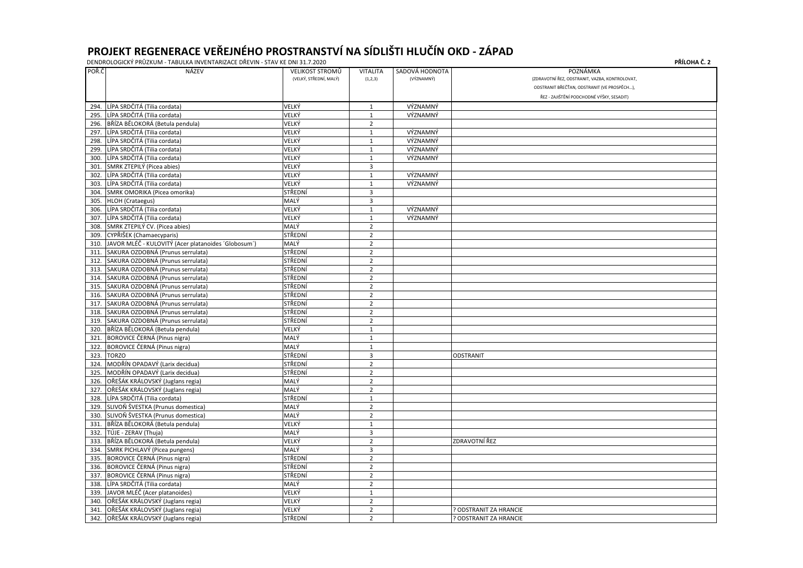| POŘ.Č | <b>NÁZEV</b>                                        | <b>VELIKOST STROMŮ</b><br>(VELKÝ, STŘEDNÍ, MALÝ) | <b>VITALITA</b> | SADOVÁ HODNOTA<br>(VÝZNAMNÝ) | POZNÁMKA<br>(ZDRAVOTNÍ ŘEZ, ODSTRANIT, VAZBA, KONTROLOVAT) |
|-------|-----------------------------------------------------|--------------------------------------------------|-----------------|------------------------------|------------------------------------------------------------|
|       |                                                     |                                                  | (1,2,3)         |                              | ODSTRANIT BŘEČŤAN, ODSTRANIT (VE PROSPĚCH),                |
|       |                                                     |                                                  |                 |                              |                                                            |
|       |                                                     |                                                  |                 |                              | ŘEZ - ZAJIŠTĚNÍ PODCHODNÉ VÝŠKY, SESADIT)                  |
| 294.  | LÍPA SRDČITÁ (Tilia cordata)                        | VELKÝ                                            | $\mathbf{1}$    | VÝZNAMNÝ                     |                                                            |
| 295.  | LÍPA SRDČITÁ (Tilia cordata)                        | VELKÝ                                            | $\mathbf{1}$    | VÝZNAMNÝ                     |                                                            |
| 296.  | BŘÍZA BĚLOKORÁ (Betula pendula)                     | VELKÝ                                            | $\overline{2}$  |                              |                                                            |
| 297   | LÍPA SRDČITÁ (Tilia cordata)                        | VELKÝ                                            | $\mathbf{1}$    | VÝZNAMNÝ                     |                                                            |
| 298.  | LÍPA SRDČITÁ (Tilia cordata)                        | VELKÝ                                            | $\mathbf{1}$    | VÝZNAMNÝ                     |                                                            |
| 299.  | LÍPA SRDČITÁ (Tilia cordata)                        | VELKÝ                                            | $\mathbf{1}$    | VÝZNAMNÝ                     |                                                            |
| 300.  | LÍPA SRDČITÁ (Tilia cordata)                        | VELKÝ                                            | $\mathbf{1}$    | VÝZNAMNÝ                     |                                                            |
| 301   | SMRK ZTEPILÝ (Picea abies)                          | VELKÝ                                            | 3               |                              |                                                            |
| 302   | LÍPA SRDČITÁ (Tilia cordata)                        | VELKÝ                                            | $\mathbf{1}$    | VÝZNAMNÝ                     |                                                            |
| 303   | LÍPA SRDČITÁ (Tilia cordata)                        | VELKÝ                                            | 1               | VÝZNAMNÝ                     |                                                            |
| 304   | SMRK OMORIKA (Picea omorika)                        | STŘEDNÍ                                          | $\overline{3}$  |                              |                                                            |
| 305   | HLOH (Crataegus)                                    | MALÝ                                             | 3               |                              |                                                            |
| 306.  | LÍPA SRDČITÁ (Tilia cordata)                        | VELKÝ                                            | $\mathbf{1}$    | VÝZNAMNÝ                     |                                                            |
| 307   | LÍPA SRDČITÁ (Tilia cordata)                        | VELKÝ                                            | 1               | VÝZNAMNÝ                     |                                                            |
| 308.  | SMRK ZTEPILÝ CV. (Picea abies)                      | MALÝ                                             | $\overline{2}$  |                              |                                                            |
| 309.  | CYPŘIŠEK (Chamaecyparis)                            | STŘEDNÍ                                          | $\overline{2}$  |                              |                                                            |
| 310.  | JAVOR MLÉČ - KULOVITÝ (Acer platanoides 'Globosum') | MALÝ                                             | $\overline{2}$  |                              |                                                            |
| 311   | SAKURA OZDOBNÁ (Prunus serrulata)                   | STŘEDNÍ                                          | $\overline{2}$  |                              |                                                            |
| 312   | SAKURA OZDOBNÁ (Prunus serrulata)                   | STŘEDNÍ                                          | $\overline{2}$  |                              |                                                            |
| 313   | SAKURA OZDOBNÁ (Prunus serrulata)                   | STŘEDNÍ                                          | $\overline{2}$  |                              |                                                            |
| 314.  | SAKURA OZDOBNÁ (Prunus serrulata)                   | STŘEDNÍ                                          | $\overline{2}$  |                              |                                                            |
| 315.  | SAKURA OZDOBNÁ (Prunus serrulata)                   | STŘEDNÍ                                          | $\overline{2}$  |                              |                                                            |
| 316.  | SAKURA OZDOBNÁ (Prunus serrulata)                   | STŘEDNÍ                                          | $\overline{2}$  |                              |                                                            |
| 317   | SAKURA OZDOBNÁ (Prunus serrulata)                   | STŘEDNÍ                                          | $\overline{2}$  |                              |                                                            |
| 318.  | SAKURA OZDOBNÁ (Prunus serrulata)                   | STŘEDNÍ                                          | $\overline{2}$  |                              |                                                            |
| 319   | SAKURA OZDOBNÁ (Prunus serrulata)                   | STŘEDNÍ                                          | $\overline{2}$  |                              |                                                            |
| 320   | BŘÍZA BĚLOKORÁ (Betula pendula)                     | VELKÝ                                            | $\mathbf{1}$    |                              |                                                            |
| 321   | BOROVICE ČERNÁ (Pinus nigra)                        | MALÝ                                             | $\mathbf{1}$    |                              |                                                            |
| 322   | BOROVICE ČERNÁ (Pinus nigra)                        | MALÝ                                             | $\mathbf{1}$    |                              |                                                            |
| 323   | <b>TORZO</b>                                        | STŘEDNÍ                                          | 3               |                              | ODSTRANIT                                                  |
|       | 324. MODŘÍN OPADAVÝ (Larix decidua)                 | STŘEDNÍ                                          | $\overline{2}$  |                              |                                                            |
|       | 325. MODŘÍN OPADAVÝ (Larix decidua)                 | STŘEDNÍ                                          | $\overline{2}$  |                              |                                                            |
|       | 326. OŘEŠÁK KRÁLOVSKÝ (Juglans regia)               | MALÝ                                             | $\overline{2}$  |                              |                                                            |
|       | 327. OŘEŠÁK KRÁLOVSKÝ (Juglans regia)               | MALÝ                                             | $\overline{2}$  |                              |                                                            |
| 328.  | LÍPA SRDČITÁ (Tilia cordata)                        | STŘEDNÍ                                          | $\mathbf{1}$    |                              |                                                            |
| 329.  | SLIVOŇ ŠVESTKA (Prunus domestica)                   | MALÝ                                             | $\overline{2}$  |                              |                                                            |
| 330.  | SLIVOŇ ŠVESTKA (Prunus domestica)                   | MALÝ                                             | $\overline{2}$  |                              |                                                            |
| 331.  | BŘÍZA BĚLOKORÁ (Betula pendula)                     | VELKÝ                                            | $\mathbf{1}$    |                              |                                                            |
|       | 332. TÚJE - ZERAV (Thuja)                           | MALÝ                                             | 3               |                              |                                                            |
| 333.  | BŘÍZA BĚLOKORÁ (Betula pendula)                     | VELKÝ                                            | $\overline{2}$  |                              | <b>ZDRAVOTNÍ ŘEZ</b>                                       |
| 334.  | SMRK PICHLAVÝ (Picea pungens)                       | MALÝ                                             | 3               |                              |                                                            |
| 335.  | BOROVICE ČERNÁ (Pinus nigra)                        | STŘEDNÍ                                          | $\overline{2}$  |                              |                                                            |
| 336.  | BOROVICE ČERNÁ (Pinus nigra)                        | STŘEDNÍ                                          | $\overline{2}$  |                              |                                                            |
| 337   | BOROVICE ČERNÁ (Pinus nigra)                        | STŘEDNÍ                                          | $\overline{2}$  |                              |                                                            |
| 338.  | LÍPA SRDČITÁ (Tilia cordata)                        | MALÝ                                             | $\overline{2}$  |                              |                                                            |
|       | 339. JAVOR MLÉČ (Acer platanoides)                  | VELKÝ                                            | $\mathbf{1}$    |                              |                                                            |
|       | 340. OŘEŠÁK KRÁLOVSKÝ (Juglans regia)               | VELKÝ                                            | $\overline{2}$  |                              |                                                            |
|       | 341. OŘEŠÁK KRÁLOVSKÝ (Juglans regia)               | VELKÝ                                            | $\overline{2}$  |                              | ? ODSTRANIT ZA HRANCIE                                     |
|       | 342. OŘEŠÁK KRÁLOVSKÝ (Juglans regia)               | STŘEDNÍ                                          | $\overline{2}$  |                              | ? ODSTRANIT ZA HRANCIE                                     |
|       |                                                     |                                                  |                 |                              |                                                            |

|              | <b>PRILOHA C. 2</b> |
|--------------|---------------------|
| KONTROLOVAT, |                     |
| E PROSPĚCH), |                     |
|              |                     |
| Y, SESADIT)  |                     |
|              |                     |
|              |                     |
|              |                     |
|              |                     |
|              |                     |
|              |                     |
|              |                     |
|              |                     |
|              |                     |
|              |                     |
|              |                     |
|              |                     |
|              |                     |
|              |                     |
|              |                     |
|              |                     |
|              |                     |
|              |                     |
|              |                     |
|              |                     |
|              |                     |
|              |                     |
|              |                     |
|              |                     |
|              |                     |
|              |                     |
|              |                     |
|              |                     |
|              |                     |
|              |                     |
|              |                     |
|              |                     |
|              |                     |
|              |                     |
|              |                     |
|              |                     |
|              |                     |
|              |                     |
|              |                     |
|              |                     |
|              |                     |
|              |                     |
|              |                     |
|              |                     |
|              |                     |
|              |                     |
|              |                     |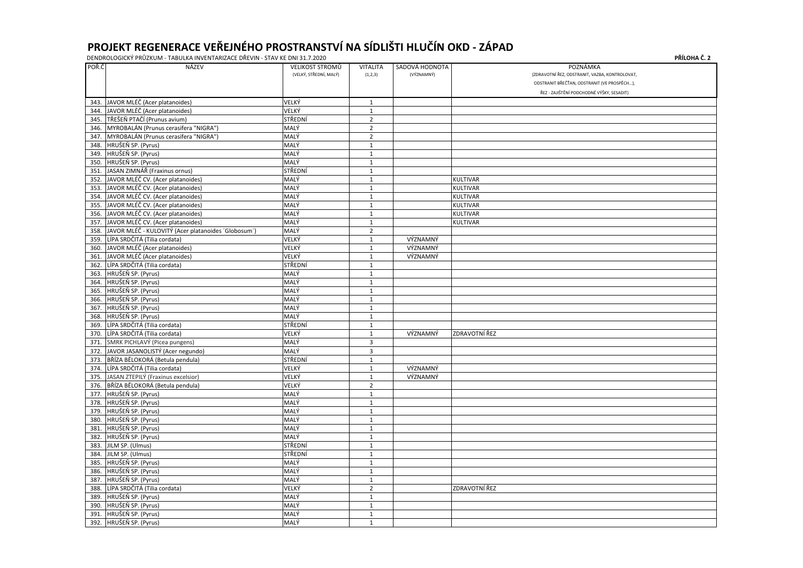DENDROLOGICKÝ PRŮZKUM - TABULKA INVENTARIZACE DŘEVIN - STAV KE DNI 31.7.2020 **P** POŘ.Č NÁZEV VELIKOST STROMŮ VITALITA SADOVÁ HODNOTA POZNÁMKA (VELKÝ, STŘEDNÍ, MALÝ) (1,2,3) (VÝZNAMNÝ) (VÝZNAMNÝ) (ZDRAVOTNÍ ŘEZ, ODSTRANIT, VAZBA, ODSTRANIT BŘEČŤAN, ODSTRANIT (VE ŘEZ - ZAJIŠTĚNÍ PODCHODNÉ VÝŠKY 343. JAVOR MLÉČ (Acer platanoides)<br>344. JAVOR MLÉČ (Acer platanoides) VELKÝ VELKÝ 1 344. JAVOR MLÉČ (Acer platanoides)<br>345. TŘEŠEŇ PTAČÍ (Prunus avium) 1994. VELKÝ STŘEDNÍ 1995. TŘEDNÍ 2 345. TŘEŠEŇ PTAČÍ (Prunus avium)<br>
STŘEDNÍ 2 346. |MYROBALÁN (Prunus cerasifera "NIGRA") |MALÝ | 2 347. MYROBALÁN (Prunus cerasifera "NIGRA") MALÝ 2 348. HRUŠEŇ SP. (Pyrus) MALÝ 1 349. HRUŠEŇ SP. (Pyrus) MALÝ 1 350. HRUŠEŇ SP. (Pyrus) MALÝ 1 351. JIASAN ZIMNÁŘ (Fraxinus ornus) STŘEDNÍ III. STŘEDNÍ III. STŘEDNÍ III. STŘEDNÍ II. STŘEDNÍ II. STRÉDNÍ II. 352. |JAVOR MLÉČ CV. (Acer platanoides) |MALÝ | |KULTIVAR 353. |JAVOR MLÉČ CV. (Acer platanoides) |MALÝ | |KULTIVAR 354. |JAVOR MLÉČ CV. (Acer platanoides) |MALÝ | |KULTIVAR 355. |JAVOR MLÉČ CV. (Acer platanoides) |MALÝ | |KULTIVAR

|      | 346. MYROBALÁN (Prunus cerasifera "NIGRA")          | MALÝ    | 2              |          |                 |
|------|-----------------------------------------------------|---------|----------------|----------|-----------------|
| 347. | MYROBALÁN (Prunus cerasifera "NIGRA")               | MALÝ    | $\overline{2}$ |          |                 |
| 348. | HRUŠEŇ SP. (Pyrus)                                  | MALÝ    | 1              |          |                 |
| 349. | HRUŠEŇ SP. (Pyrus)                                  | MALÝ    | $\mathbf{1}$   |          |                 |
| 350. | HRUŠEŇ SP. (Pyrus)                                  | MALÝ    | 1              |          |                 |
| 351. | JASAN ZIMNÁŘ (Fraxinus ornus)                       | STŘEDNÍ | $\mathbf{1}$   |          |                 |
| 352. | JAVOR MLÉČ CV. (Acer platanoides)                   | MALÝ    | $\mathbf{1}$   |          | <b>KULTIVAR</b> |
| 353. | JAVOR MLÉČ CV. (Acer platanoides)                   | MALÝ    | $\mathbf{1}$   |          | KULTIVAR        |
| 354. | JAVOR MLÉČ CV. (Acer platanoides)                   | MALÝ    | 1              |          | KULTIVAR        |
| 355. | JAVOR MLÉČ CV. (Acer platanoides)                   | MALÝ    | $\mathbf{1}$   |          | <b>KULTIVAR</b> |
| 356. | JAVOR MLÉČ CV. (Acer platanoides)                   | MALÝ    | $\mathbf{1}$   |          | KULTIVAR        |
| 357. | JAVOR MLÉČ CV. (Acer platanoides)                   | MALÝ    | $\mathbf{1}$   |          | KULTIVAR        |
| 358. | JAVOR MLÉČ - KULOVITÝ (Acer platanoides 'Globosum') | MALÝ    | $\overline{2}$ |          |                 |
| 359. | LÍPA SRDČITÁ (Tilia cordata)                        | VELKÝ   | $\mathbf 1$    | VÝZNAMNÝ |                 |
| 360. | JAVOR MLÉČ (Acer platanoides)                       | VELKÝ   | $\mathbf{1}$   | VÝZNAMNÝ |                 |
| 361. | JAVOR MLÉČ (Acer platanoides)                       | VELKÝ   | $\mathbf{1}$   | VÝZNAMNÝ |                 |
| 362. | LÍPA SRDČITÁ (Tilia cordata)                        | STŘEDNÍ | 1              |          |                 |
| 363. | HRUŠEŇ SP. (Pyrus)                                  | MALÝ    | $\mathbf{1}$   |          |                 |
| 364. | HRUŠEŇ SP. (Pyrus)                                  | MALÝ    | 1              |          |                 |
| 365. | HRUŠEŇ SP. (Pyrus)                                  | MALÝ    | $\mathbf{1}$   |          |                 |
| 366. | HRUŠEŇ SP. (Pyrus)                                  | MALÝ    | $\mathbf{1}$   |          |                 |
| 367. | HRUŠEŇ SP. (Pyrus)                                  | MALÝ    | $\mathbf{1}$   |          |                 |
| 368. | HRUŠEŇ SP. (Pyrus)                                  | MALÝ    | $\mathbf{1}$   |          |                 |
| 369. | LÍPA SRDČITÁ (Tilia cordata)                        | STŘEDNÍ | $\mathbf{1}$   |          |                 |
| 370. | LÍPA SRDČITÁ (Tilia cordata)                        | VELKÝ   | $\mathbf{1}$   | VÝZNAMNÝ | ZDRAVOTNÍ ŘEZ   |
| 371. | SMRK PICHLAVÝ (Picea pungens)                       | MALÝ    | 3              |          |                 |
| 372. | JAVOR JASANOLISTÝ (Acer negundo)                    | MALÝ    | 3              |          |                 |
| 373. | BŘÍZA BĚLOKORÁ (Betula pendula)                     | STŘEDNÍ | 1              |          |                 |
| 374. | LÍPA SRDČITÁ (Tilia cordata)                        | VELKÝ   | $\mathbf{1}$   | VÝZNAMNÝ |                 |
| 375. | JASAN ZTEPILÝ (Fraxinus excelsior)                  | VELKÝ   | 1              | VÝZNAMNÝ |                 |
| 376. | BŘÍZA BĚLOKORÁ (Betula pendula)                     | VELKÝ   | $\mathbf 2$    |          |                 |
| 377. | HRUŠEŇ SP. (Pyrus)                                  | MALÝ    | $\mathbf{1}$   |          |                 |
| 378. | HRUŠEŇ SP. (Pyrus)                                  | MALÝ    | $\mathbf{1}$   |          |                 |
| 379. | HRUŠEŇ SP. (Pyrus)                                  | MALÝ    | 1              |          |                 |
| 380. | HRUŠEŇ SP. (Pyrus)                                  | MALÝ    | $\mathbf{1}$   |          |                 |
|      | 381. HRUŠEŇ SP. (Pyrus)                             | MALÝ    | $\mathbf{1}$   |          |                 |
| 382. | HRUŠEŇ SP. (Pyrus)                                  | MALÝ    | $\mathbf{1}$   |          |                 |
| 383. | JILM SP. (Ulmus)                                    | STŘEDNÍ | 1              |          |                 |
| 384. | JILM SP. (Ulmus)                                    | STŘEDNÍ | $\mathbf{1}$   |          |                 |
| 385. | HRUŠEŇ SP. (Pyrus)                                  | MALÝ    | $\mathbf 1$    |          |                 |
| 386. | HRUŠEŇ SP. (Pyrus)                                  | MALÝ    | $\mathbf 1$    |          |                 |
| 387. | HRUŠEŇ SP. (Pyrus)                                  | MALÝ    | $\mathbf{1}$   |          |                 |
| 388. | LÍPA SRDČITÁ (Tilia cordata)                        | VELKÝ   | $\overline{2}$ |          | ZDRAVOTNÍ ŘEZ   |
| 389. | HRUŠEŇ SP. (Pyrus)                                  | MALÝ    | $\mathbf{1}$   |          |                 |
| 390. | HRUŠEŇ SP. (Pyrus)                                  | MALÝ    | $\mathbf 1$    |          |                 |
| 391. | HRUŠEŇ SP. (Pyrus)                                  | MALÝ    | $\mathbf{1}$   |          |                 |
|      | 392. HRUŠEŇ SP. (Pyrus)                             | MALÝ    | $\mathbf 1$    |          |                 |
|      |                                                     |         |                |          |                 |

| PŘÍLOHA Č. 2 |  |  |
|--------------|--|--|
|--------------|--|--|

| KONTROLOVAT, |  |
|--------------|--|
| PROSPĚCH),   |  |
| Y, SESADIT)  |  |
|              |  |
|              |  |
|              |  |
|              |  |
|              |  |
|              |  |
|              |  |
|              |  |
|              |  |
|              |  |
|              |  |
|              |  |
|              |  |
|              |  |
|              |  |
|              |  |
|              |  |
|              |  |
|              |  |
|              |  |
|              |  |
|              |  |
|              |  |
|              |  |
|              |  |
|              |  |
|              |  |
|              |  |
|              |  |
|              |  |
|              |  |
|              |  |
|              |  |
|              |  |
|              |  |
|              |  |
|              |  |
|              |  |
|              |  |
|              |  |
|              |  |
|              |  |
|              |  |
|              |  |
|              |  |
|              |  |
|              |  |
|              |  |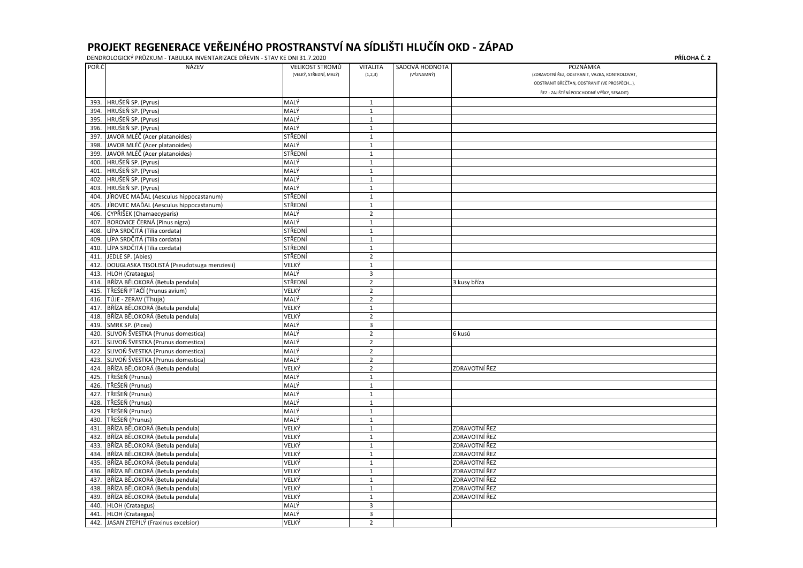|       | DENDROLOGICKÝ PRŮZKUM - TABULKA INVENTARIZACE DŘEVIN - STAV KE DNI 31.7.2020 |                        |                         |                | PŘÍLOHA Č. 2                                   |
|-------|------------------------------------------------------------------------------|------------------------|-------------------------|----------------|------------------------------------------------|
| POŘ.Č | NÁZEV                                                                        | VELIKOST STROMŮ        | <b>VITALITA</b>         | SADOVÁ HODNOTA | POZNÁMKA                                       |
|       |                                                                              | (VELKÝ, STŘEDNÍ, MALÝ) | (1,2,3)                 | (VÝZNAMNÝ)     | (ZDRAVOTNÍ ŘEZ, ODSTRANIT, VAZBA, KONTROLOVAT, |
|       |                                                                              |                        |                         |                | ODSTRANIT BŘEČŤAN, ODSTRANIT (VE PROSPĚCH),    |
|       |                                                                              |                        |                         |                | ŘEZ - ZAJIŠTĚNÍ PODCHODNÉ VÝŠKY, SESADIT)      |
| 393.  | HRUŠEŇ SP. (Pyrus)                                                           | MALÝ                   | $\mathbf{1}$            |                |                                                |
| 394.  | HRUŠEŇ SP. (Pyrus)                                                           | MALÝ                   | $\mathbf{1}$            |                |                                                |
| 395.  | HRUŠEŇ SP. (Pyrus)                                                           | MALÝ                   | 1                       |                |                                                |
|       | 396. HRUŠEŇ SP. (Pyrus)                                                      | MALÝ                   | $\mathbf{1}$            |                |                                                |
|       | 397. JAVOR MLÉČ (Acer platanoides)                                           | STŘEDNÍ                | $\mathbf{1}$            |                |                                                |
| 398.  | JAVOR MLÉČ (Acer platanoides)                                                | MALÝ                   | $\mathbf{1}$            |                |                                                |
| 399.  | JAVOR MLÉČ (Acer platanoides)                                                | STŘEDNÍ                | $\mathbf{1}$            |                |                                                |
| 400.  | HRUŠEŇ SP. (Pyrus)                                                           | MALÝ                   | $\mathbf{1}$            |                |                                                |
| 401.  | HRUŠEŇ SP. (Pyrus)                                                           | MALÝ                   | $\mathbf{1}$            |                |                                                |
| 402.  | HRUŠEŇ SP. (Pyrus)                                                           | MALÝ                   | $\mathbf{1}$            |                |                                                |
| 403.  | HRUŠEŇ SP. (Pyrus)                                                           | MALÝ                   | $\mathbf{1}$            |                |                                                |
| 404.  | JÍROVEC MAĎAL (Aesculus hippocastanum)                                       | STŘEDNÍ                | 1                       |                |                                                |
| 405.  | JÍROVEC MAĎAL (Aesculus hippocastanum)                                       | STŘEDNÍ                | $\mathbf{1}$            |                |                                                |
| 406.  | CYPŘIŠEK (Chamaecyparis)                                                     | MALÝ                   | $\overline{2}$          |                |                                                |
| 407.  | <b>BOROVICE ČERNÁ (Pinus nigra)</b>                                          | MALÝ                   | $\mathbf{1}$            |                |                                                |
| 408.  | LÍPA SRDČITÁ (Tilia cordata)                                                 | STŘEDNÍ                | $\mathbf{1}$            |                |                                                |
| 409.  | LÍPA SRDČITÁ (Tilia cordata)                                                 | STŘEDNÍ                | $\mathbf{1}$            |                |                                                |
| 410.  | LÍPA SRDČITÁ (Tilia cordata)                                                 | STŘEDNÍ                | $\mathbf{1}$            |                |                                                |
| 411.  | JEDLE SP. (Abies)                                                            | STŘEDNÍ                | $\overline{2}$          |                |                                                |
| 412.  | DOUGLASKA TISOLISTÁ (Pseudotsuga menziesii)                                  | VELKÝ                  | 1                       |                |                                                |
| 413.  | HLOH (Crataegus)                                                             | MALÝ                   | $\overline{3}$          |                |                                                |
| 414.  | BŘÍZA BĚLOKORÁ (Betula pendula)                                              | STŘEDNÍ                | $\overline{2}$          |                | 3 kusy bříza                                   |
| 415.  | TŘEŠEŇ PTAČÍ (Prunus avium)                                                  | VELKÝ                  | $\overline{2}$          |                |                                                |
| 416.  | TÚJE - ZERAV (Thuja)                                                         | MALÝ                   | $\overline{2}$          |                |                                                |
| 417.  | BŘÍZA BĚLOKORÁ (Betula pendula)                                              | VELKÝ                  | $\mathbf{1}$            |                |                                                |
| 418.  | BŘÍZA BĚLOKORÁ (Betula pendula)                                              | VELKÝ                  | $\overline{2}$          |                |                                                |
| 419.  | SMRK SP. (Picea)                                                             | MALÝ                   | $\overline{3}$          |                |                                                |
| 420.  | SLIVOŇ ŠVESTKA (Prunus domestica)                                            | MALÝ                   | $\overline{2}$          |                | 6 kusů                                         |
|       | 421. SLIVOŇ ŠVESTKA (Prunus domestica)                                       | MALÝ                   | $\overline{2}$          |                |                                                |
|       | 422. SLIVOŇ ŠVESTKA (Prunus domestica)                                       | MALÝ                   | $\overline{2}$          |                |                                                |
|       | 423. SLIVOŇ ŠVESTKA (Prunus domestica)                                       | MALÝ                   | $\overline{2}$          |                |                                                |
|       | 424. BŘÍZA BĚLOKORÁ (Betula pendula)                                         | VELKÝ                  | $\overline{2}$          |                | ZDRAVOTNÍ ŘEZ                                  |
| 425.  | TŘEŠEŇ (Prunus)                                                              | MALÝ                   | $\mathbf{1}$            |                |                                                |
| 426.  | TŘEŠEŇ (Prunus)                                                              | MALÝ                   | $\mathbf{1}$            |                |                                                |
| 427.  | TŘEŠEŇ (Prunus)                                                              | MALÝ                   | $\mathbf 1$             |                |                                                |
| 428.  | TŘEŠEŇ (Prunus)                                                              | MALÝ                   | $\mathbf{1}$            |                |                                                |
| 429.  | TŘEŠEŇ (Prunus)                                                              | MALÝ                   | $\mathbf{1}$            |                |                                                |
|       | 430. TŘEŠEŇ (Prunus)                                                         | MALÝ                   | $\mathbf{1}$            |                |                                                |
|       | 431. BŘÍZA BĚLOKORÁ (Betula pendula)                                         | VELKÝ                  | $\mathbf{1}$            |                | ZDRAVOTNÍ ŘEZ                                  |
|       | 432. BŘÍZA BĚLOKORÁ (Betula pendula)                                         | VELKÝ                  | $1\,$                   |                | ZDRAVOTNÍ ŘEZ                                  |
| 433.  | BŘÍZA BĚLOKORÁ (Betula pendula)                                              | VELKÝ                  | $\mathbf{1}$            |                | ZDRAVOTNÍ ŘEZ                                  |
| 434.  | BŘÍZA BĚLOKORÁ (Betula pendula)                                              | VELKÝ                  | $\mathbf{1}$            |                | ZDRAVOTNÍ ŘEZ                                  |
| 435.  | BŘÍZA BĚLOKORÁ (Betula pendula)                                              | VELKÝ                  | $\mathbf{1}$            |                | ZDRAVOTNÍ ŘEZ                                  |
| 436.  | BŘÍZA BĚLOKORÁ (Betula pendula)                                              | VELKÝ                  | $\mathbf 1$             |                | ZDRAVOTNÍ ŘEZ                                  |
| 437.  | BŘÍZA BĚLOKORÁ (Betula pendula)                                              | VELKÝ                  | $\mathbf{1}$            |                | ZDRAVOTNÍ ŘEZ                                  |
| 438.  | BŘÍZA BĚLOKORÁ (Betula pendula)                                              | VELKÝ                  | $\mathbf{1}$            |                | ZDRAVOTNÍ ŘEZ                                  |
| 439.  | BŘÍZA BĚLOKORÁ (Betula pendula)                                              | VELKÝ                  | $\mathbf{1}$            |                | ZDRAVOTNÍ ŘEZ                                  |
| 440.  | HLOH (Crataegus)                                                             | MALÝ                   | $\overline{3}$          |                |                                                |
| 441.  | HLOH (Crataegus)                                                             | MALÝ                   | $\overline{\mathbf{3}}$ |                |                                                |
|       | 442. JASAN ZTEPILÝ (Fraxinus excelsior)                                      | VELKÝ                  | $\overline{2}$          |                |                                                |

| PŘÍLOHA Č. 2 |  |  |
|--------------|--|--|
|--------------|--|--|

| KONTROLOVAT, |
|--------------|
| PROSPĚCH),   |
| Y, SESADIT)  |
|              |
|              |
|              |
|              |
|              |
|              |
|              |
|              |
|              |
|              |
|              |
|              |
|              |
|              |
|              |
|              |
|              |
|              |
|              |
|              |
|              |
|              |
|              |
|              |
|              |
|              |
|              |
|              |
|              |
|              |
|              |
|              |
|              |
|              |
|              |
|              |
|              |
|              |
|              |
|              |
|              |
|              |
|              |
|              |
|              |
|              |
|              |
|              |
|              |
|              |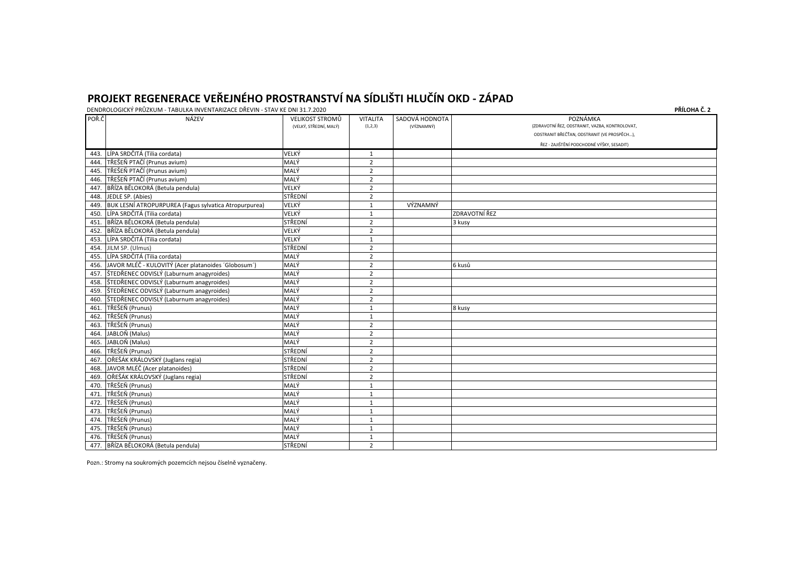DENDROLOGICKÝ PRŮZKUM - TABULKA INVENTARIZACE DŘEVIN - STAV KE DNI 31.7.2020 **PŘÍLOHA Č. 2**

| POŘ.Č | NÁZEV                                                    | <b>VELIKOST STROMŮ</b><br>(VELKÝ, STŘEDNÍ, MALÝ) | <b>VITALITA</b><br>(1,2,3) | SADOVÁ HODNOTA<br>(VÝZNAMNÝ) | POZNÁMKA<br>(ZDRAVOTNÍ ŘEZ, ODSTRANIT, VAZBA, KONTROLOVAT<br>ODSTRANIT BŘEČŤAN, ODSTRANIT (VE PROSPĚCH), |
|-------|----------------------------------------------------------|--------------------------------------------------|----------------------------|------------------------------|----------------------------------------------------------------------------------------------------------|
|       |                                                          |                                                  |                            |                              | ŘEZ - ZAJIŠTĚNÍ PODCHODNÉ VÝŠKY, SESADIT)                                                                |
| 443.  | LÍPA SRDČITÁ (Tilia cordata)                             | VELKÝ                                            | $\mathbf{1}$               |                              |                                                                                                          |
| 444.  | TŘEŠEŇ PTAČÍ (Prunus avium)                              | MALÝ                                             | $\overline{2}$             |                              |                                                                                                          |
| 445.  | TŘEŠEŇ PTAČÍ (Prunus avium)                              | MALÝ                                             | $\overline{2}$             |                              |                                                                                                          |
| 446.  | TŘEŠEŇ PTAČÍ (Prunus avium)                              | MALÝ                                             | $\overline{2}$             |                              |                                                                                                          |
| 447.  | BŘÍZA BĚLOKORÁ (Betula pendula)                          | VELKÝ                                            | $\overline{2}$             |                              |                                                                                                          |
| 448.  | JEDLE SP. (Abies)                                        | STŘEDNÍ                                          | $\overline{2}$             |                              |                                                                                                          |
| 449.  | BUK LESNÍ ATROPURPUREA (Fagus sylvatica Atropurpurea)    | VELKÝ                                            | $\mathbf{1}$               | VÝZNAMNÝ                     |                                                                                                          |
| 450.  | LÍPA SRDČITÁ (Tilia cordata)                             | VELKÝ                                            | $\mathbf 1$                |                              | ZDRAVOTNÍ ŘEZ                                                                                            |
|       | 451. BŘÍZA BĚLOKORÁ (Betula pendula)                     | STŘEDNÍ                                          | $\overline{2}$             |                              | 3 kusy                                                                                                   |
| 452.  | BŘÍZA BĚLOKORÁ (Betula pendula)                          | VELKÝ                                            | $\overline{2}$             |                              |                                                                                                          |
| 453.  | LÍPA SRDČITÁ (Tilia cordata)                             | VELKÝ                                            | $\mathbf{1}$               |                              |                                                                                                          |
| 454.  | JILM SP. (Ulmus)                                         | STŘEDNÍ                                          | $\overline{2}$             |                              |                                                                                                          |
|       | 455. LÍPA SRDČITÁ (Tilia cordata)                        | MALÝ                                             | $\overline{2}$             |                              |                                                                                                          |
|       | 456. JAVOR MLÉČ - KULOVITÝ (Acer platanoides 'Globosum') | MALÝ                                             | $\overline{2}$             |                              | 6 kusů                                                                                                   |
|       | 457. ŠTEDŘENEC ODVISLÝ (Laburnum anagyroides)            | MALÝ                                             | $\overline{2}$             |                              |                                                                                                          |
|       | 458. ŠTEDŘENEC ODVISLÝ (Laburnum anagyroides)            | MALÝ                                             | $\overline{2}$             |                              |                                                                                                          |
| 459.  | ŠTEDŘENEC ODVISLÝ (Laburnum anagyroides)                 | MALÝ                                             | $\overline{2}$             |                              |                                                                                                          |
|       | 460. ŠTEDŘENEC ODVISLÝ (Laburnum anagyroides)            | MALÝ                                             | $\overline{2}$             |                              |                                                                                                          |
|       | 461. TŘEŠEŇ (Prunus)                                     | MALÝ                                             | $\mathbf{1}$               |                              | 8 kusy                                                                                                   |
|       | 462. TŘEŠEŇ (Prunus)                                     | MALÝ                                             | $\mathbf{1}$               |                              |                                                                                                          |
| 463.  | TŘEŠEŇ (Prunus)                                          | MALÝ                                             | $\overline{2}$             |                              |                                                                                                          |
| 464.  | JABLOŇ (Malus)                                           | MALÝ                                             | $\overline{2}$             |                              |                                                                                                          |
|       | 465. JABLOŇ (Malus)                                      | MALÝ                                             | $\overline{2}$             |                              |                                                                                                          |
|       | 466. TŘEŠEŇ (Prunus)                                     | STŘEDNÍ                                          | $\overline{2}$             |                              |                                                                                                          |
| 467.  | OŘEŠÁK KRÁLOVSKÝ (Juglans regia)                         | STŘEDNÍ                                          | $\overline{2}$             |                              |                                                                                                          |
| 468.  | JAVOR MLÉČ (Acer platanoides)                            | STŘEDNÍ                                          | $\overline{2}$             |                              |                                                                                                          |
| 469.  | OŘEŠÁK KRÁLOVSKÝ (Juglans regia)                         | STŘEDNÍ                                          | $\overline{2}$             |                              |                                                                                                          |
| 470.  | TŘEŠEŇ (Prunus)                                          | MALÝ                                             | $\mathbf{1}$               |                              |                                                                                                          |
| 471.  | TŘEŠEŇ (Prunus)                                          | MALÝ                                             | $\mathbf{1}$               |                              |                                                                                                          |
| 472.  | TŘEŠEŇ (Prunus)                                          | MALÝ                                             | $\mathbf 1$                |                              |                                                                                                          |
|       | 473. TŘEŠEŇ (Prunus)                                     | MALÝ                                             | $\mathbf{1}$               |                              |                                                                                                          |
|       | 474. TŘEŠEŇ (Prunus)                                     | MALÝ                                             | $\mathbf{1}$               |                              |                                                                                                          |
|       | 475. TŘEŠEŇ (Prunus)                                     | MALÝ                                             | $\mathbf{1}$               |                              |                                                                                                          |
| 476.  | TŘEŠEŇ (Prunus)                                          | MALÝ                                             | $\mathbf 1$                |                              |                                                                                                          |
| 477.  | BŘÍZA BĚLOKORÁ (Betula pendula)                          | STŘEDNÍ                                          | $\overline{2}$             |                              |                                                                                                          |

Pozn.: Stromy na soukromých pozemcích nejsou číselně vyznačeny.

| KONTROLOVAT,               |
|----------------------------|
| E PROSPĚCH) <mark>,</mark> |
| Y, SESADIT)                |
|                            |
|                            |
|                            |
|                            |
|                            |
|                            |
|                            |
|                            |
|                            |
|                            |
|                            |
|                            |
|                            |
|                            |
|                            |
|                            |
|                            |
|                            |
|                            |
|                            |
|                            |
|                            |
|                            |
|                            |
|                            |
|                            |
|                            |
|                            |
|                            |
|                            |
|                            |
|                            |
|                            |
|                            |
|                            |
|                            |